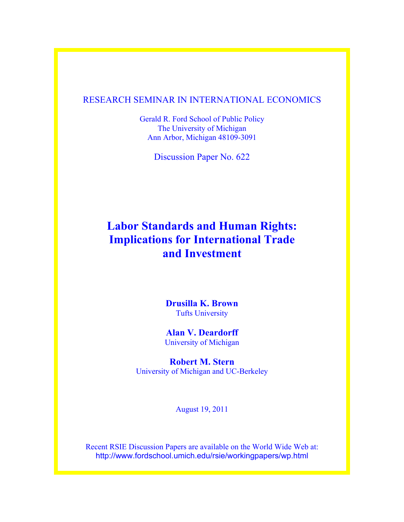# RESEARCH SEMINAR IN INTERNATIONAL ECONOMICS

Gerald R. Ford School of Public Policy The University of Michigan Ann Arbor, Michigan 48109-3091

Discussion Paper No. 622

# **Labor Standards and Human Rights: Implications for International Trade and Investment**

**Drusilla K. Brown** Tufts University

**Alan V. Deardorff** University of Michigan

**Robert M. Stern** University of Michigan and UC-Berkeley

August 19, 2011

Recent RSIE Discussion Papers are available on the World Wide Web at: http://www.fordschool.umich.edu/rsie/workingpapers/wp.html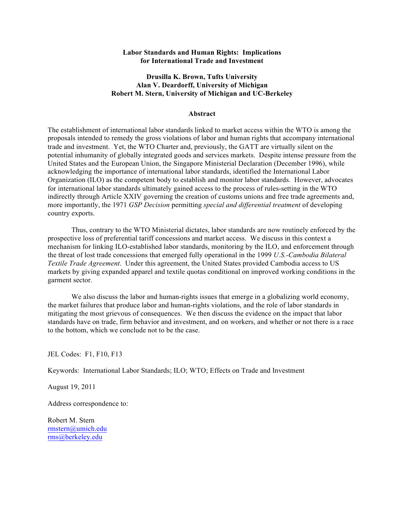#### **Labor Standards and Human Rights: Implications for International Trade and Investment**

## **Drusilla K. Brown, Tufts University Alan V. Deardorff, University of Michigan Robert M. Stern, University of Michigan and UC-Berkeley**

#### **Abstract**

The establishment of international labor standards linked to market access within the WTO is among the proposals intended to remedy the gross violations of labor and human rights that accompany international trade and investment. Yet, the WTO Charter and, previously, the GATT are virtually silent on the potential inhumanity of globally integrated goods and services markets. Despite intense pressure from the United States and the European Union, the Singapore Ministerial Declaration (December 1996), while acknowledging the importance of international labor standards, identified the International Labor Organization (ILO) as the competent body to establish and monitor labor standards. However, advocates for international labor standards ultimately gained access to the process of rules-setting in the WTO indirectly through Article XXIV governing the creation of customs unions and free trade agreements and, more importantly, the 1971 *GSP Decision* permitting *special and differential treatment* of developing country exports.

Thus, contrary to the WTO Ministerial dictates, labor standards are now routinely enforced by the prospective loss of preferential tariff concessions and market access. We discuss in this context a mechanism for linking ILO-established labor standards, monitoring by the ILO, and enforcement through the threat of lost trade concessions that emerged fully operational in the 1999 *U.S.-Cambodia Bilateral Textile Trade Agreement*. Under this agreement, the United States provided Cambodia access to US markets by giving expanded apparel and textile quotas conditional on improved working conditions in the garment sector.

We also discuss the labor and human-rights issues that emerge in a globalizing world economy, the market failures that produce labor and human-rights violations, and the role of labor standards in mitigating the most grievous of consequences. We then discuss the evidence on the impact that labor standards have on trade, firm behavior and investment, and on workers, and whether or not there is a race to the bottom, which we conclude not to be the case.

JEL Codes: F1, F10, F13

Keywords: International Labor Standards; ILO; WTO; Effects on Trade and Investment

August 19, 2011

Address correspondence to:

Robert M. Stern rmstern@umich.edu rms@berkeley.edu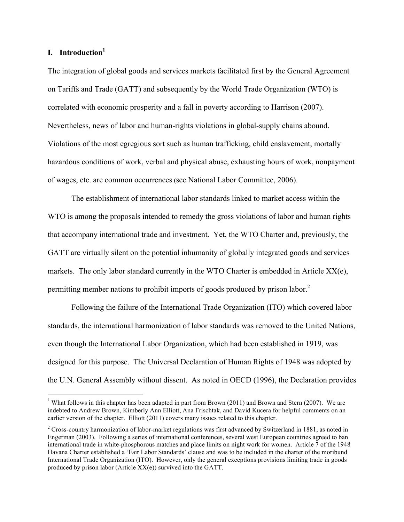## **I. Introduction**<sup>1</sup>

 

The integration of global goods and services markets facilitated first by the General Agreement on Tariffs and Trade (GATT) and subsequently by the World Trade Organization (WTO) is correlated with economic prosperity and a fall in poverty according to Harrison (2007). Nevertheless, news of labor and human-rights violations in global-supply chains abound. Violations of the most egregious sort such as human trafficking, child enslavement, mortally hazardous conditions of work, verbal and physical abuse, exhausting hours of work, nonpayment of wages, etc. are common occurrences (see National Labor Committee, 2006).

The establishment of international labor standards linked to market access within the WTO is among the proposals intended to remedy the gross violations of labor and human rights that accompany international trade and investment. Yet, the WTO Charter and, previously, the GATT are virtually silent on the potential inhumanity of globally integrated goods and services markets. The only labor standard currently in the WTO Charter is embedded in Article  $XX(e)$ , permitting member nations to prohibit imports of goods produced by prison labor.<sup>2</sup>

Following the failure of the International Trade Organization (ITO) which covered labor standards, the international harmonization of labor standards was removed to the United Nations, even though the International Labor Organization, which had been established in 1919, was designed for this purpose. The Universal Declaration of Human Rights of 1948 was adopted by the U.N. General Assembly without dissent. As noted in OECD (1996), the Declaration provides

<sup>&</sup>lt;sup>1</sup> What follows in this chapter has been adapted in part from Brown (2011) and Brown and Stern (2007). We are indebted to Andrew Brown, Kimberly Ann Elliott, Ana Frischtak, and David Kucera for helpful comments on an earlier version of the chapter. Elliott (2011) covers many issues related to this chapter.

<sup>&</sup>lt;sup>2</sup> Cross-country harmonization of labor-market regulations was first advanced by Switzerland in 1881, as noted in Engerman (2003). Following a series of international conferences, several west European countries agreed to ban international trade in white-phosphorous matches and place limits on night work for women. Article 7 of the 1948 Havana Charter established a 'Fair Labor Standards' clause and was to be included in the charter of the moribund International Trade Organization (ITO). However, only the general exceptions provisions limiting trade in goods produced by prison labor (Article XX(e)) survived into the GATT.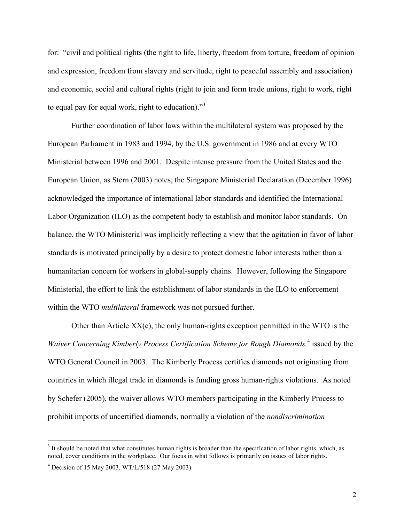for: "civil and political rights (the right to life, liberty, freedom from torture, freedom of opinion and expression, freedom from slavery and servitude, right to peaceful assembly and association) and economic, social and cultural rights (right to join and form trade unions, right to work, right to equal pay for equal work, right to education). $^{3}$ 

Further coordination of labor laws within the multilateral system was proposed by the European Parliament in 1983 and 1994, by the U.S. government in 1986 and at every WTO Ministerial between 1996 and 2001. Despite intense pressure from the United States and the European Union, as Stern (2003) notes, the Singapore Ministerial Declaration (December 1996) acknowledged the importance of international labor standards and identified the International Labor Organization (ILO) as the competent body to establish and monitor labor standards. On balance, the WTO Ministerial was implicitly reflecting a view that the agitation in favor of labor standards is motivated principally by a desire to protect domestic labor interests rather than a humanitarian concern for workers in global-supply chains. However, following the Singapore Ministerial, the effort to link the establishment of labor standards in the ILO to enforcement within the WTO *multilateral* framework was not pursued further.

Other than Article XX(e), the only human-rights exception permitted in the WTO is the *Waiver Concerning Kimberly Process Certification Scheme for Rough Diamonds,*<sup>4</sup> issued by the WTO General Council in 2003. The Kimberly Process certifies diamonds not originating from countries in which illegal trade in diamonds is funding gross human-rights violations. As noted by Schefer (2005), the waiver allows WTO members participating in the Kimberly Process to prohibit imports of uncertified diamonds, normally a violation of the *nondiscrimination*

<sup>&</sup>lt;sup>3</sup> It should be noted that what constitutes human rights is broader than the specification of labor rights, which, as noted, cover conditions in the workplace. Our focus in what follows is primarily on issues of labor rights.

 $4$  Decision of 15 May 2003, WT/L/518 (27 May 2003).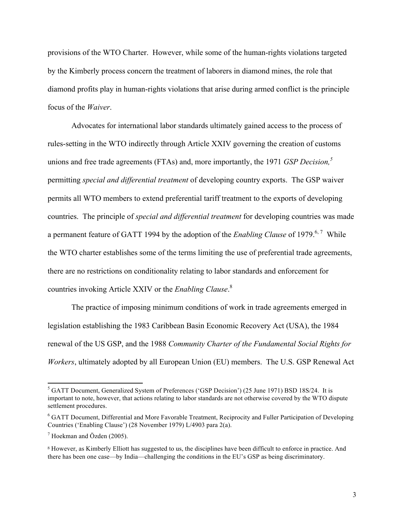provisions of the WTO Charter. However, while some of the human-rights violations targeted by the Kimberly process concern the treatment of laborers in diamond mines, the role that diamond profits play in human-rights violations that arise during armed conflict is the principle focus of the *Waiver*.

Advocates for international labor standards ultimately gained access to the process of rules-setting in the WTO indirectly through Article XXIV governing the creation of customs unions and free trade agreements (FTAs) and, more importantly, the 1971 *GSP Decision*,<sup>5</sup> permitting *special and differential treatment* of developing country exports. The GSP waiver permits all WTO members to extend preferential tariff treatment to the exports of developing countries. The principle of *special and differential treatment* for developing countries was made a permanent feature of GATT 1994 by the adoption of the *Enabling Clause* of 1979.<sup>6,7</sup> While the WTO charter establishes some of the terms limiting the use of preferential trade agreements, there are no restrictions on conditionality relating to labor standards and enforcement for countries invoking Article XXIV or the *Enabling Clause*. 8

The practice of imposing minimum conditions of work in trade agreements emerged in legislation establishing the 1983 Caribbean Basin Economic Recovery Act (USA), the 1984 renewal of the US GSP, and the 1988 *Community Charter of the Fundamental Social Rights for Workers*, ultimately adopted by all European Union (EU) members. The U.S. GSP Renewal Act

<sup>&</sup>lt;sup>5</sup> GATT Document, Generalized System of Preferences ('GSP Decision') (25 June 1971) BSD 18S/24. It is important to note, however, that actions relating to labor standards are not otherwise covered by the WTO dispute settlement procedures.

<sup>&</sup>lt;sup>6</sup> GATT Document, Differential and More Favorable Treatment, Reciprocity and Fuller Participation of Developing Countries ('Enabling Clause') (28 November 1979) L/4903 para 2(a).

 $^7$  Hoekman and Özden (2005).

<sup>8</sup> However, as Kimberly Elliott has suggested to us, the disciplines have been difficult to enforce in practice. And there has been one case—by India—challenging the conditions in the EU's GSP as being discriminatory.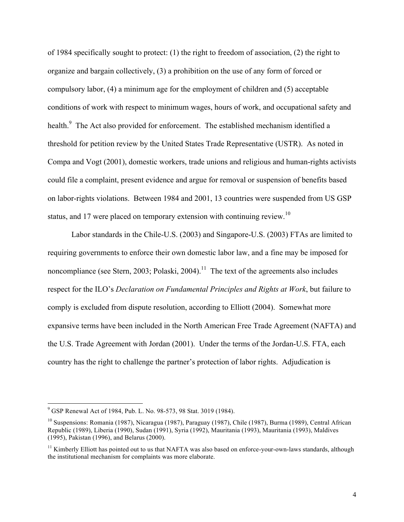of 1984 specifically sought to protect: (1) the right to freedom of association, (2) the right to organize and bargain collectively, (3) a prohibition on the use of any form of forced or compulsory labor, (4) a minimum age for the employment of children and (5) acceptable conditions of work with respect to minimum wages, hours of work, and occupational safety and health.<sup>9</sup> The Act also provided for enforcement. The established mechanism identified a threshold for petition review by the United States Trade Representative (USTR). As noted in Compa and Vogt (2001), domestic workers, trade unions and religious and human-rights activists could file a complaint, present evidence and argue for removal or suspension of benefits based on labor-rights violations. Between 1984 and 2001, 13 countries were suspended from US GSP status, and 17 were placed on temporary extension with continuing review.<sup>10</sup>

Labor standards in the Chile-U.S. (2003) and Singapore-U.S. (2003) FTAs are limited to requiring governments to enforce their own domestic labor law, and a fine may be imposed for noncompliance (see Stern, 2003; Polaski, 2004).<sup>11</sup> The text of the agreements also includes respect for the ILO's *Declaration on Fundamental Principles and Rights at Work*, but failure to comply is excluded from dispute resolution, according to Elliott (2004). Somewhat more expansive terms have been included in the North American Free Trade Agreement (NAFTA) and the U.S. Trade Agreement with Jordan (2001). Under the terms of the Jordan-U.S. FTA, each country has the right to challenge the partner's protection of labor rights. Adjudication is

<sup>9</sup> GSP Renewal Act of 1984, Pub. L. No. 98-573, 98 Stat. 3019 (1984).

<sup>&</sup>lt;sup>10</sup> Suspensions: Romania (1987), Nicaragua (1987), Paraguay (1987), Chile (1987), Burma (1989), Central African Republic (1989), Liberia (1990), Sudan (1991), Syria (1992), Mauritania (1993), Mauritania (1993), Maldives (1995), Pakistan (1996), and Belarus (2000).

 $11$  Kimberly Elliott has pointed out to us that NAFTA was also based on enforce-your-own-laws standards, although the institutional mechanism for complaints was more elaborate.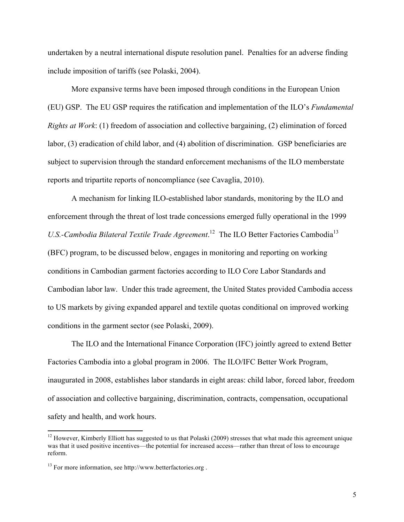undertaken by a neutral international dispute resolution panel. Penalties for an adverse finding include imposition of tariffs (see Polaski, 2004).

More expansive terms have been imposed through conditions in the European Union (EU) GSP. The EU GSP requires the ratification and implementation of the ILO's *Fundamental Rights at Work*: (1) freedom of association and collective bargaining, (2) elimination of forced labor, (3) eradication of child labor, and (4) abolition of discrimination. GSP beneficiaries are subject to supervision through the standard enforcement mechanisms of the ILO memberstate reports and tripartite reports of noncompliance (see Cavaglia, 2010).

A mechanism for linking ILO-established labor standards, monitoring by the ILO and enforcement through the threat of lost trade concessions emerged fully operational in the 1999 U.S.-Cambodia Bilateral Textile Trade Agreement.<sup>12</sup> The ILO Better Factories Cambodia<sup>13</sup> (BFC) program, to be discussed below, engages in monitoring and reporting on working conditions in Cambodian garment factories according to ILO Core Labor Standards and Cambodian labor law. Under this trade agreement, the United States provided Cambodia access to US markets by giving expanded apparel and textile quotas conditional on improved working conditions in the garment sector (see Polaski, 2009).

The ILO and the International Finance Corporation (IFC) jointly agreed to extend Better Factories Cambodia into a global program in 2006. The ILO/IFC Better Work Program, inaugurated in 2008, establishes labor standards in eight areas: child labor, forced labor, freedom of association and collective bargaining, discrimination, contracts, compensation, occupational safety and health, and work hours.

<sup>&</sup>lt;sup>12</sup> However, Kimberly Elliott has suggested to us that Polaski (2009) stresses that what made this agreement unique was that it used positive incentives—the potential for increased access—rather than threat of loss to encourage reform.

<sup>&</sup>lt;sup>13</sup> For more information, see http://www.betterfactories.org.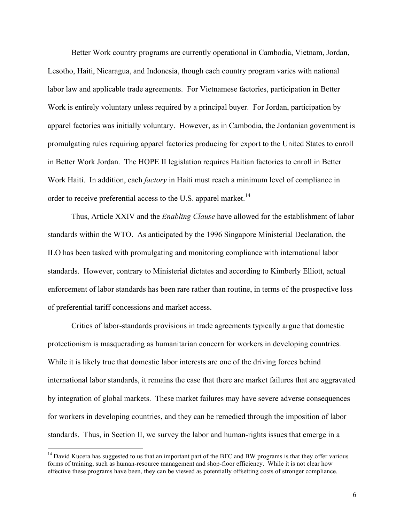Better Work country programs are currently operational in Cambodia, Vietnam, Jordan, Lesotho, Haiti, Nicaragua, and Indonesia, though each country program varies with national labor law and applicable trade agreements. For Vietnamese factories, participation in Better Work is entirely voluntary unless required by a principal buyer. For Jordan, participation by apparel factories was initially voluntary. However, as in Cambodia, the Jordanian government is promulgating rules requiring apparel factories producing for export to the United States to enroll in Better Work Jordan. The HOPE II legislation requires Haitian factories to enroll in Better Work Haiti. In addition, each *factory* in Haiti must reach a minimum level of compliance in order to receive preferential access to the U.S. apparel market.<sup>14</sup>

Thus, Article XXIV and the *Enabling Clause* have allowed for the establishment of labor standards within the WTO. As anticipated by the 1996 Singapore Ministerial Declaration, the ILO has been tasked with promulgating and monitoring compliance with international labor standards. However, contrary to Ministerial dictates and according to Kimberly Elliott, actual enforcement of labor standards has been rare rather than routine, in terms of the prospective loss of preferential tariff concessions and market access.

Critics of labor-standards provisions in trade agreements typically argue that domestic protectionism is masquerading as humanitarian concern for workers in developing countries. While it is likely true that domestic labor interests are one of the driving forces behind international labor standards, it remains the case that there are market failures that are aggravated by integration of global markets. These market failures may have severe adverse consequences for workers in developing countries, and they can be remedied through the imposition of labor standards. Thus, in Section II, we survey the labor and human-rights issues that emerge in a

 $14$  David Kucera has suggested to us that an important part of the BFC and BW programs is that they offer various forms of training, such as human-resource management and shop-floor efficiency. While it is not clear how effective these programs have been, they can be viewed as potentially offsetting costs of stronger compliance.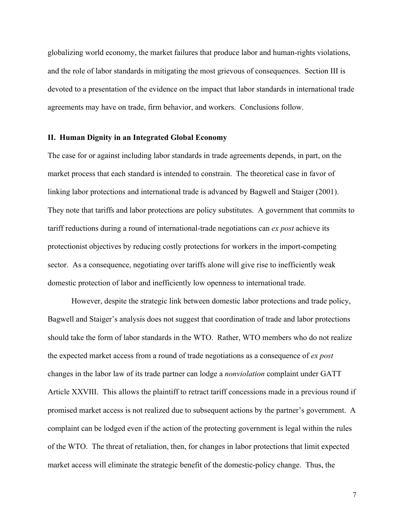globalizing world economy, the market failures that produce labor and human-rights violations, and the role of labor standards in mitigating the most grievous of consequences. Section III is devoted to a presentation of the evidence on the impact that labor standards in international trade agreements may have on trade, firm behavior, and workers. Conclusions follow.

### **II. Human Dignity in an Integrated Global Economy**

The case for or against including labor standards in trade agreements depends, in part, on the market process that each standard is intended to constrain. The theoretical case in favor of linking labor protections and international trade is advanced by Bagwell and Staiger (2001). They note that tariffs and labor protections are policy substitutes. A government that commits to tariff reductions during a round of international-trade negotiations can *ex post* achieve its protectionist objectives by reducing costly protections for workers in the import-competing sector. As a consequence, negotiating over tariffs alone will give rise to inefficiently weak domestic protection of labor and inefficiently low openness to international trade.

However, despite the strategic link between domestic labor protections and trade policy, Bagwell and Staiger's analysis does not suggest that coordination of trade and labor protections should take the form of labor standards in the WTO. Rather, WTO members who do not realize the expected market access from a round of trade negotiations as a consequence of *ex post* changes in the labor law of its trade partner can lodge a *nonviolation* complaint under GATT Article XXVIII. This allows the plaintiff to retract tariff concessions made in a previous round if promised market access is not realized due to subsequent actions by the partner's government. A complaint can be lodged even if the action of the protecting government is legal within the rules of the WTO. The threat of retaliation, then, for changes in labor protections that limit expected market access will eliminate the strategic benefit of the domestic-policy change. Thus, the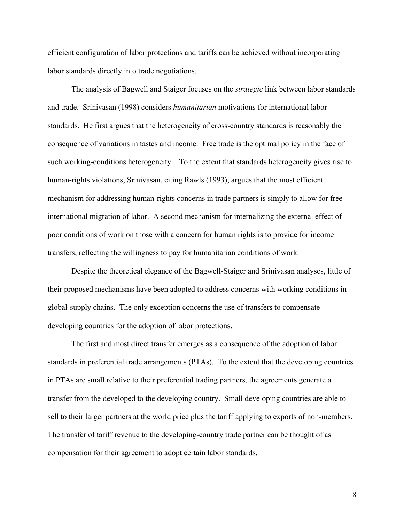efficient configuration of labor protections and tariffs can be achieved without incorporating labor standards directly into trade negotiations.

The analysis of Bagwell and Staiger focuses on the *strategic* link between labor standards and trade. Srinivasan (1998) considers *humanitarian* motivations for international labor standards. He first argues that the heterogeneity of cross-country standards is reasonably the consequence of variations in tastes and income. Free trade is the optimal policy in the face of such working-conditions heterogeneity. To the extent that standards heterogeneity gives rise to human-rights violations, Srinivasan, citing Rawls (1993), argues that the most efficient mechanism for addressing human-rights concerns in trade partners is simply to allow for free international migration of labor. A second mechanism for internalizing the external effect of poor conditions of work on those with a concern for human rights is to provide for income transfers, reflecting the willingness to pay for humanitarian conditions of work.

Despite the theoretical elegance of the Bagwell-Staiger and Srinivasan analyses, little of their proposed mechanisms have been adopted to address concerns with working conditions in global-supply chains. The only exception concerns the use of transfers to compensate developing countries for the adoption of labor protections.

The first and most direct transfer emerges as a consequence of the adoption of labor standards in preferential trade arrangements (PTAs). To the extent that the developing countries in PTAs are small relative to their preferential trading partners, the agreements generate a transfer from the developed to the developing country. Small developing countries are able to sell to their larger partners at the world price plus the tariff applying to exports of non-members. The transfer of tariff revenue to the developing-country trade partner can be thought of as compensation for their agreement to adopt certain labor standards.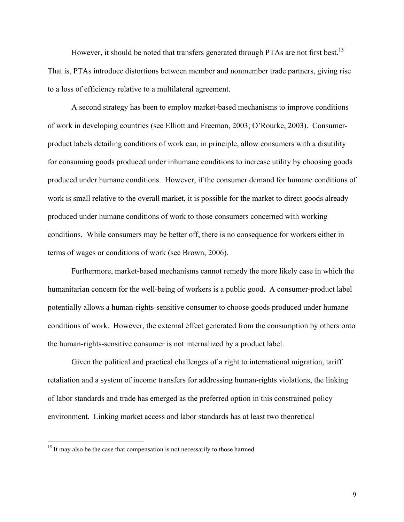However, it should be noted that transfers generated through PTAs are not first best.<sup>15</sup> That is, PTAs introduce distortions between member and nonmember trade partners, giving rise to a loss of efficiency relative to a multilateral agreement.

A second strategy has been to employ market-based mechanisms to improve conditions of work in developing countries (see Elliott and Freeman, 2003; O'Rourke, 2003). Consumerproduct labels detailing conditions of work can, in principle, allow consumers with a disutility for consuming goods produced under inhumane conditions to increase utility by choosing goods produced under humane conditions. However, if the consumer demand for humane conditions of work is small relative to the overall market, it is possible for the market to direct goods already produced under humane conditions of work to those consumers concerned with working conditions. While consumers may be better off, there is no consequence for workers either in terms of wages or conditions of work (see Brown, 2006).

Furthermore, market-based mechanisms cannot remedy the more likely case in which the humanitarian concern for the well-being of workers is a public good. A consumer-product label potentially allows a human-rights-sensitive consumer to choose goods produced under humane conditions of work. However, the external effect generated from the consumption by others onto the human-rights-sensitive consumer is not internalized by a product label.

Given the political and practical challenges of a right to international migration, tariff retaliation and a system of income transfers for addressing human-rights violations, the linking of labor standards and trade has emerged as the preferred option in this constrained policy environment. Linking market access and labor standards has at least two theoretical

 $15$  It may also be the case that compensation is not necessarily to those harmed.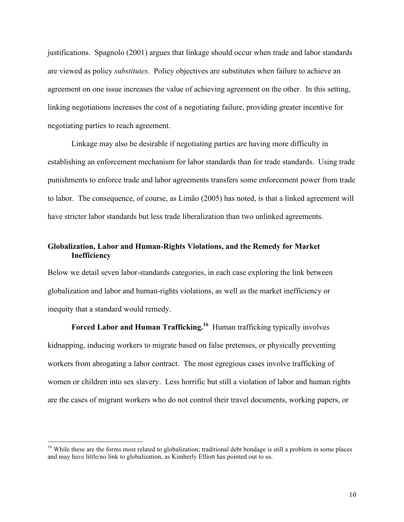justifications. Spagnolo (2001) argues that linkage should occur when trade and labor standards are viewed as policy *substitutes*. Policy objectives are substitutes when failure to achieve an agreement on one issue increases the value of achieving agreement on the other. In this setting, linking negotiations increases the cost of a negotiating failure, providing greater incentive for negotiating parties to reach agreement.

Linkage may also be desirable if negotiating parties are having more difficulty in establishing an enforcement mechanism for labor standards than for trade standards. Using trade punishments to enforce trade and labor agreements transfers some enforcement power from trade to labor. The consequence, of course, as Limão (2005) has noted, is that a linked agreement will have stricter labor standards but less trade liberalization than two unlinked agreements.

## **Globalization, Labor and Human-Rights Violations, and the Remedy for Market Inefficiency**

Below we detail seven labor-standards categories, in each case exploring the link between globalization and labor and human-rights violations, as well as the market inefficiency or inequity that a standard would remedy.

**Forced Labor and Human Trafficking.<sup>16</sup>** Human trafficking typically involves kidnapping, inducing workers to migrate based on false pretenses, or physically preventing workers from abrogating a labor contract. The most egregious cases involve trafficking of women or children into sex slavery. Less horrific but still a violation of labor and human rights are the cases of migrant workers who do not control their travel documents, working papers, or

<sup>&</sup>lt;sup>16</sup> While these are the forms most related to globalization; traditional debt bondage is still a problem in some places and may have little/no link to globalization, as Kimberly Elliott has pointed out to us.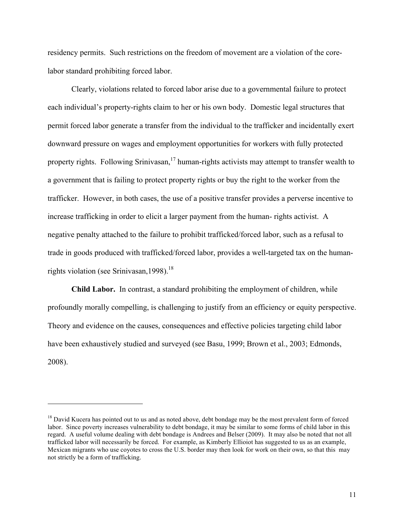residency permits. Such restrictions on the freedom of movement are a violation of the corelabor standard prohibiting forced labor.

Clearly, violations related to forced labor arise due to a governmental failure to protect each individual's property-rights claim to her or his own body. Domestic legal structures that permit forced labor generate a transfer from the individual to the trafficker and incidentally exert downward pressure on wages and employment opportunities for workers with fully protected property rights. Following Srinivasan,<sup>17</sup> human-rights activists may attempt to transfer wealth to a government that is failing to protect property rights or buy the right to the worker from the trafficker. However, in both cases, the use of a positive transfer provides a perverse incentive to increase trafficking in order to elicit a larger payment from the human- rights activist. A negative penalty attached to the failure to prohibit trafficked/forced labor, such as a refusal to trade in goods produced with trafficked/forced labor, provides a well-targeted tax on the humanrights violation (see Srinivasan, 1998).<sup>18</sup>

**Child Labor.** In contrast, a standard prohibiting the employment of children, while profoundly morally compelling, is challenging to justify from an efficiency or equity perspective. Theory and evidence on the causes, consequences and effective policies targeting child labor have been exhaustively studied and surveyed (see Basu, 1999; Brown et al., 2003; Edmonds, 2008).

<sup>&</sup>lt;sup>18</sup> David Kucera has pointed out to us and as noted above, debt bondage may be the most prevalent form of forced labor. Since poverty increases vulnerability to debt bondage, it may be similar to some forms of child labor in this regard. A useful volume dealing with debt bondage is Andrees and Belser (2009). It may also be noted that not all trafficked labor will necessarily be forced. For example, as Kimberly Ellioiot has suggested to us as an example, Mexican migrants who use coyotes to cross the U.S. border may then look for work on their own, so that this may not strictly be a form of trafficking.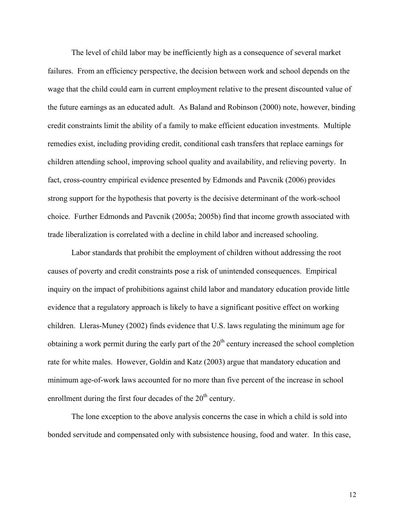The level of child labor may be inefficiently high as a consequence of several market failures. From an efficiency perspective, the decision between work and school depends on the wage that the child could earn in current employment relative to the present discounted value of the future earnings as an educated adult. As Baland and Robinson (2000) note, however, binding credit constraints limit the ability of a family to make efficient education investments. Multiple remedies exist, including providing credit, conditional cash transfers that replace earnings for children attending school, improving school quality and availability, and relieving poverty. In fact, cross-country empirical evidence presented by Edmonds and Pavcnik (2006) provides strong support for the hypothesis that poverty is the decisive determinant of the work-school choice. Further Edmonds and Pavcnik (2005a; 2005b) find that income growth associated with trade liberalization is correlated with a decline in child labor and increased schooling.

Labor standards that prohibit the employment of children without addressing the root causes of poverty and credit constraints pose a risk of unintended consequences. Empirical inquiry on the impact of prohibitions against child labor and mandatory education provide little evidence that a regulatory approach is likely to have a significant positive effect on working children. Lleras-Muney (2002) finds evidence that U.S. laws regulating the minimum age for obtaining a work permit during the early part of the  $20<sup>th</sup>$  century increased the school completion rate for white males. However, Goldin and Katz (2003) argue that mandatory education and minimum age-of-work laws accounted for no more than five percent of the increase in school enrollment during the first four decades of the  $20<sup>th</sup>$  century.

The lone exception to the above analysis concerns the case in which a child is sold into bonded servitude and compensated only with subsistence housing, food and water. In this case,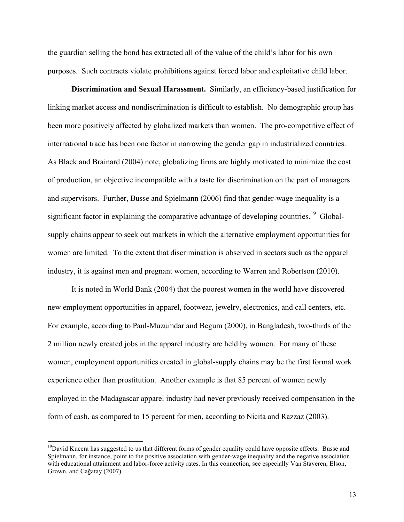the guardian selling the bond has extracted all of the value of the child's labor for his own purposes. Such contracts violate prohibitions against forced labor and exploitative child labor.

**Discrimination and Sexual Harassment.** Similarly, an efficiency-based justification for linking market access and nondiscrimination is difficult to establish. No demographic group has been more positively affected by globalized markets than women. The pro-competitive effect of international trade has been one factor in narrowing the gender gap in industrialized countries. As Black and Brainard (2004) note, globalizing firms are highly motivated to minimize the cost of production, an objective incompatible with a taste for discrimination on the part of managers and supervisors. Further, Busse and Spielmann (2006) find that gender-wage inequality is a significant factor in explaining the comparative advantage of developing countries.<sup>19</sup> Globalsupply chains appear to seek out markets in which the alternative employment opportunities for women are limited. To the extent that discrimination is observed in sectors such as the apparel industry, it is against men and pregnant women, according to Warren and Robertson (2010).

It is noted in World Bank (2004) that the poorest women in the world have discovered new employment opportunities in apparel, footwear, jewelry, electronics, and call centers, etc. For example, according to Paul-Muzumdar and Begum (2000), in Bangladesh, two-thirds of the 2 million newly created jobs in the apparel industry are held by women. For many of these women, employment opportunities created in global-supply chains may be the first formal work experience other than prostitution. Another example is that 85 percent of women newly employed in the Madagascar apparel industry had never previously received compensation in the form of cash, as compared to 15 percent for men, according to Nicita and Razzaz (2003).

 $19$ David Kucera has suggested to us that different forms of gender equality could have opposite effects. Busse and Spielmann, for instance, point to the positive association with gender-wage inequality and the negative association with educational attainment and labor-force activity rates. In this connection, see especially Van Staveren, Elson, Grown, and Cağatay (2007).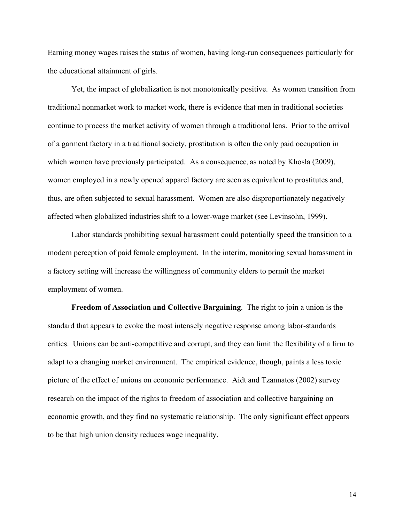Earning money wages raises the status of women, having long-run consequences particularly for the educational attainment of girls.

Yet, the impact of globalization is not monotonically positive. As women transition from traditional nonmarket work to market work, there is evidence that men in traditional societies continue to process the market activity of women through a traditional lens. Prior to the arrival of a garment factory in a traditional society, prostitution is often the only paid occupation in which women have previously participated. As a consequence, as noted by Khosla (2009), women employed in a newly opened apparel factory are seen as equivalent to prostitutes and, thus, are often subjected to sexual harassment. Women are also disproportionately negatively affected when globalized industries shift to a lower-wage market (see Levinsohn, 1999).

Labor standards prohibiting sexual harassment could potentially speed the transition to a modern perception of paid female employment. In the interim, monitoring sexual harassment in a factory setting will increase the willingness of community elders to permit the market employment of women.

**Freedom of Association and Collective Bargaining**. The right to join a union is the standard that appears to evoke the most intensely negative response among labor-standards critics. Unions can be anti-competitive and corrupt, and they can limit the flexibility of a firm to adapt to a changing market environment. The empirical evidence, though, paints a less toxic picture of the effect of unions on economic performance. Aidt and Tzannatos (2002) survey research on the impact of the rights to freedom of association and collective bargaining on economic growth, and they find no systematic relationship. The only significant effect appears to be that high union density reduces wage inequality.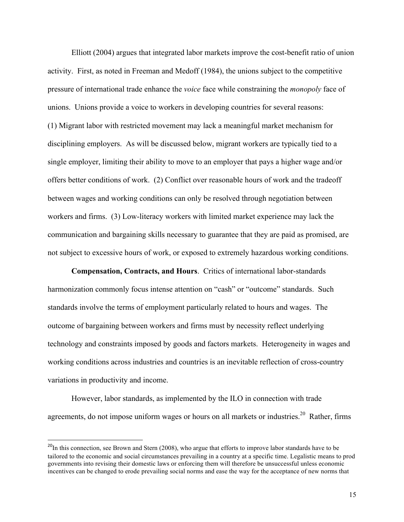Elliott (2004) argues that integrated labor markets improve the cost-benefit ratio of union activity. First, as noted in Freeman and Medoff (1984), the unions subject to the competitive pressure of international trade enhance the *voice* face while constraining the *monopoly* face of unions. Unions provide a voice to workers in developing countries for several reasons: (1) Migrant labor with restricted movement may lack a meaningful market mechanism for disciplining employers. As will be discussed below, migrant workers are typically tied to a single employer, limiting their ability to move to an employer that pays a higher wage and/or offers better conditions of work. (2) Conflict over reasonable hours of work and the tradeoff between wages and working conditions can only be resolved through negotiation between workers and firms. (3) Low-literacy workers with limited market experience may lack the communication and bargaining skills necessary to guarantee that they are paid as promised, are not subject to excessive hours of work, or exposed to extremely hazardous working conditions.

**Compensation, Contracts, and Hours**. Critics of international labor-standards harmonization commonly focus intense attention on "cash" or "outcome" standards. Such standards involve the terms of employment particularly related to hours and wages. The outcome of bargaining between workers and firms must by necessity reflect underlying technology and constraints imposed by goods and factors markets. Heterogeneity in wages and working conditions across industries and countries is an inevitable reflection of cross-country variations in productivity and income.

However, labor standards, as implemented by the ILO in connection with trade agreements, do not impose uniform wages or hours on all markets or industries.<sup>20</sup> Rather, firms

<sup>&</sup>lt;sup>20</sup>In this connection, see Brown and Stern (2008), who argue that efforts to improve labor standards have to be tailored to the economic and social circumstances prevailing in a country at a specific time. Legalistic means to prod governments into revising their domestic laws or enforcing them will therefore be unsuccessful unless economic incentives can be changed to erode prevailing social norms and ease the way for the acceptance of new norms that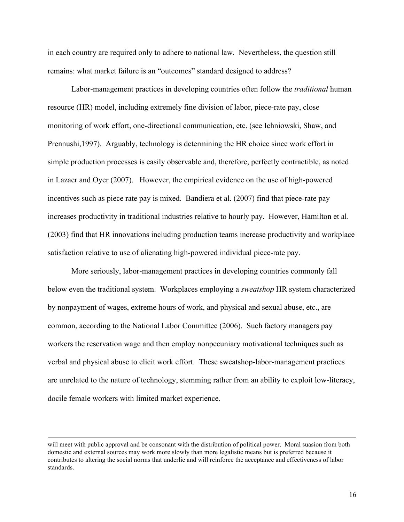in each country are required only to adhere to national law. Nevertheless, the question still remains: what market failure is an "outcomes" standard designed to address?

Labor-management practices in developing countries often follow the *traditional* human resource (HR) model, including extremely fine division of labor, piece-rate pay, close monitoring of work effort, one-directional communication, etc. (see Ichniowski, Shaw, and Prennushi,1997). Arguably, technology is determining the HR choice since work effort in simple production processes is easily observable and, therefore, perfectly contractible, as noted in Lazaer and Oyer (2007). However, the empirical evidence on the use of high-powered incentives such as piece rate pay is mixed. Bandiera et al. (2007) find that piece-rate pay increases productivity in traditional industries relative to hourly pay. However, Hamilton et al. (2003) find that HR innovations including production teams increase productivity and workplace satisfaction relative to use of alienating high-powered individual piece-rate pay.

More seriously, labor-management practices in developing countries commonly fall below even the traditional system. Workplaces employing a *sweatshop* HR system characterized by nonpayment of wages, extreme hours of work, and physical and sexual abuse, etc., are common, according to the National Labor Committee (2006). Such factory managers pay workers the reservation wage and then employ nonpecuniary motivational techniques such as verbal and physical abuse to elicit work effort. These sweatshop-labor-management practices are unrelated to the nature of technology, stemming rather from an ability to exploit low-literacy, docile female workers with limited market experience.

<u> 1989 - Andrea Santa Andrea Andrea Andrea Andrea Andrea Andrea Andrea Andrea Andrea Andrea Andrea Andrea Andr</u>

will meet with public approval and be consonant with the distribution of political power. Moral suasion from both domestic and external sources may work more slowly than more legalistic means but is preferred because it contributes to altering the social norms that underlie and will reinforce the acceptance and effectiveness of labor standards.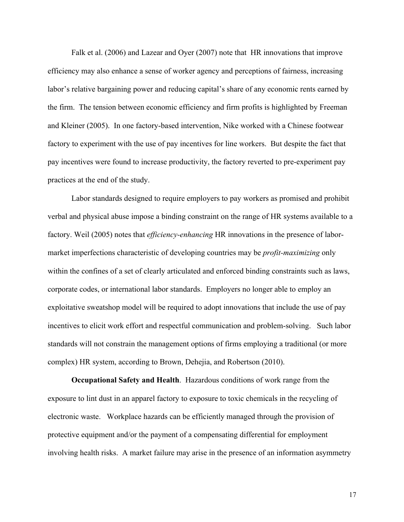Falk et al. (2006) and Lazear and Oyer (2007) note that HR innovations that improve efficiency may also enhance a sense of worker agency and perceptions of fairness, increasing labor's relative bargaining power and reducing capital's share of any economic rents earned by the firm. The tension between economic efficiency and firm profits is highlighted by Freeman and Kleiner (2005). In one factory-based intervention, Nike worked with a Chinese footwear factory to experiment with the use of pay incentives for line workers. But despite the fact that pay incentives were found to increase productivity, the factory reverted to pre-experiment pay practices at the end of the study.

Labor standards designed to require employers to pay workers as promised and prohibit verbal and physical abuse impose a binding constraint on the range of HR systems available to a factory. Weil (2005) notes that *efficiency-enhancing* HR innovations in the presence of labormarket imperfections characteristic of developing countries may be *profit-maximizing* only within the confines of a set of clearly articulated and enforced binding constraints such as laws, corporate codes, or international labor standards. Employers no longer able to employ an exploitative sweatshop model will be required to adopt innovations that include the use of pay incentives to elicit work effort and respectful communication and problem-solving. Such labor standards will not constrain the management options of firms employing a traditional (or more complex) HR system, according to Brown, Dehejia, and Robertson (2010).

**Occupational Safety and Health**. Hazardous conditions of work range from the exposure to lint dust in an apparel factory to exposure to toxic chemicals in the recycling of electronic waste. Workplace hazards can be efficiently managed through the provision of protective equipment and/or the payment of a compensating differential for employment involving health risks. A market failure may arise in the presence of an information asymmetry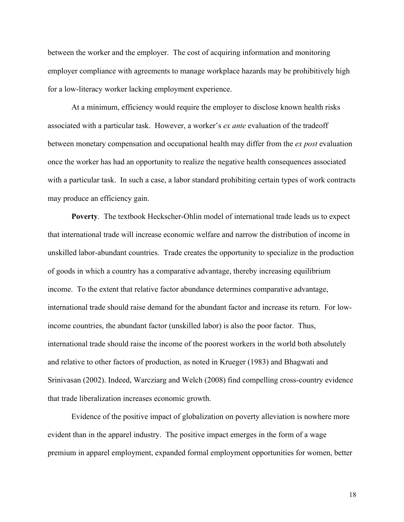between the worker and the employer. The cost of acquiring information and monitoring employer compliance with agreements to manage workplace hazards may be prohibitively high for a low-literacy worker lacking employment experience.

At a minimum, efficiency would require the employer to disclose known health risks associated with a particular task. However, a worker's *ex ante* evaluation of the tradeoff between monetary compensation and occupational health may differ from the *ex post* evaluation once the worker has had an opportunity to realize the negative health consequences associated with a particular task. In such a case, a labor standard prohibiting certain types of work contracts may produce an efficiency gain.

**Poverty**. The textbook Heckscher-Ohlin model of international trade leads us to expect that international trade will increase economic welfare and narrow the distribution of income in unskilled labor-abundant countries. Trade creates the opportunity to specialize in the production of goods in which a country has a comparative advantage, thereby increasing equilibrium income. To the extent that relative factor abundance determines comparative advantage, international trade should raise demand for the abundant factor and increase its return. For lowincome countries, the abundant factor (unskilled labor) is also the poor factor. Thus, international trade should raise the income of the poorest workers in the world both absolutely and relative to other factors of production, as noted in Krueger (1983) and Bhagwati and Srinivasan (2002). Indeed, Warcziarg and Welch (2008) find compelling cross-country evidence that trade liberalization increases economic growth.

Evidence of the positive impact of globalization on poverty alleviation is nowhere more evident than in the apparel industry. The positive impact emerges in the form of a wage premium in apparel employment, expanded formal employment opportunities for women, better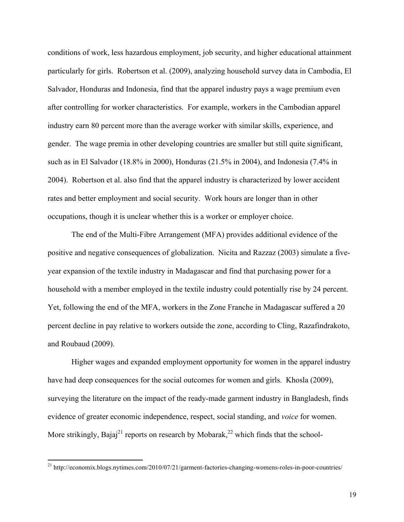conditions of work, less hazardous employment, job security, and higher educational attainment particularly for girls. Robertson et al. (2009), analyzing household survey data in Cambodia, El Salvador, Honduras and Indonesia, find that the apparel industry pays a wage premium even after controlling for worker characteristics. For example, workers in the Cambodian apparel industry earn 80 percent more than the average worker with similar skills, experience, and gender. The wage premia in other developing countries are smaller but still quite significant, such as in El Salvador (18.8% in 2000), Honduras (21.5% in 2004), and Indonesia (7.4% in 2004). Robertson et al. also find that the apparel industry is characterized by lower accident rates and better employment and social security. Work hours are longer than in other occupations, though it is unclear whether this is a worker or employer choice.

The end of the Multi-Fibre Arrangement (MFA) provides additional evidence of the positive and negative consequences of globalization. Nicita and Razzaz (2003) simulate a fiveyear expansion of the textile industry in Madagascar and find that purchasing power for a household with a member employed in the textile industry could potentially rise by 24 percent. Yet, following the end of the MFA, workers in the Zone Franche in Madagascar suffered a 20 percent decline in pay relative to workers outside the zone, according to Cling, Razafindrakoto, and Roubaud (2009).

Higher wages and expanded employment opportunity for women in the apparel industry have had deep consequences for the social outcomes for women and girls. Khosla (2009), surveying the literature on the impact of the ready-made garment industry in Bangladesh, finds evidence of greater economic independence, respect, social standing, and *voice* for women. More strikingly, Bajaj<sup>21</sup> reports on research by Mobarak,<sup>22</sup> which finds that the school-

<sup>&</sup>lt;sup>21</sup> http://economix.blogs.nytimes.com/2010/07/21/garment-factories-changing-womens-roles-in-poor-countries/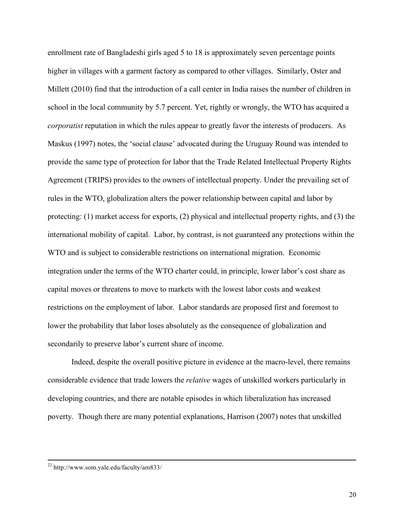enrollment rate of Bangladeshi girls aged 5 to 18 is approximately seven percentage points higher in villages with a garment factory as compared to other villages. Similarly, Oster and Millett (2010) find that the introduction of a call center in India raises the number of children in school in the local community by 5.7 percent. Yet, rightly or wrongly, the WTO has acquired a *corporatist* reputation in which the rules appear to greatly favor the interests of producers. As Maskus (1997) notes, the 'social clause' advocated during the Uruguay Round was intended to provide the same type of protection for labor that the Trade Related Intellectual Property Rights Agreement (TRIPS) provides to the owners of intellectual property. Under the prevailing set of rules in the WTO, globalization alters the power relationship between capital and labor by protecting: (1) market access for exports, (2) physical and intellectual property rights, and (3) the international mobility of capital. Labor, by contrast, is not guaranteed any protections within the WTO and is subject to considerable restrictions on international migration. Economic integration under the terms of the WTO charter could, in principle, lower labor's cost share as capital moves or threatens to move to markets with the lowest labor costs and weakest restrictions on the employment of labor. Labor standards are proposed first and foremost to lower the probability that labor loses absolutely as the consequence of globalization and secondarily to preserve labor's current share of income.

Indeed, despite the overall positive picture in evidence at the macro-level, there remains considerable evidence that trade lowers the *relative* wages of unskilled workers particularly in developing countries, and there are notable episodes in which liberalization has increased poverty. Though there are many potential explanations, Harrison (2007) notes that unskilled

<u> 1989 - Andrea Santa Andrea Andrea Andrea Andrea Andrea Andrea Andrea Andrea Andrea Andrea Andrea Andrea Andr</u>

<sup>22</sup> http://www.som.yale.edu/faculty/am833/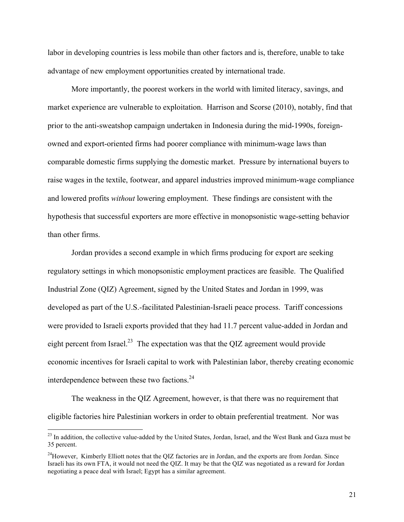labor in developing countries is less mobile than other factors and is, therefore, unable to take advantage of new employment opportunities created by international trade.

More importantly, the poorest workers in the world with limited literacy, savings, and market experience are vulnerable to exploitation. Harrison and Scorse (2010), notably, find that prior to the anti-sweatshop campaign undertaken in Indonesia during the mid-1990s, foreignowned and export-oriented firms had poorer compliance with minimum-wage laws than comparable domestic firms supplying the domestic market. Pressure by international buyers to raise wages in the textile, footwear, and apparel industries improved minimum-wage compliance and lowered profits *without* lowering employment. These findings are consistent with the hypothesis that successful exporters are more effective in monopsonistic wage-setting behavior than other firms.

Jordan provides a second example in which firms producing for export are seeking regulatory settings in which monopsonistic employment practices are feasible. The Qualified Industrial Zone (QIZ) Agreement, signed by the United States and Jordan in 1999, was developed as part of the U.S.-facilitated Palestinian-Israeli peace process. Tariff concessions were provided to Israeli exports provided that they had 11.7 percent value-added in Jordan and eight percent from Israel.<sup>23</sup> The expectation was that the QIZ agreement would provide economic incentives for Israeli capital to work with Palestinian labor, thereby creating economic interdependence between these two factions.<sup>24</sup>

The weakness in the QIZ Agreement, however, is that there was no requirement that eligible factories hire Palestinian workers in order to obtain preferential treatment. Nor was

<sup>&</sup>lt;sup>23</sup> In addition, the collective value-added by the United States, Jordan, Israel, and the West Bank and Gaza must be 35 percent.

 $^{24}$ However, Kimberly Elliott notes that the OIZ factories are in Jordan, and the exports are from Jordan. Since Israeli has its own FTA, it would not need the QIZ. It may be that the QIZ was negotiated as a reward for Jordan negotiating a peace deal with Israel; Egypt has a similar agreement.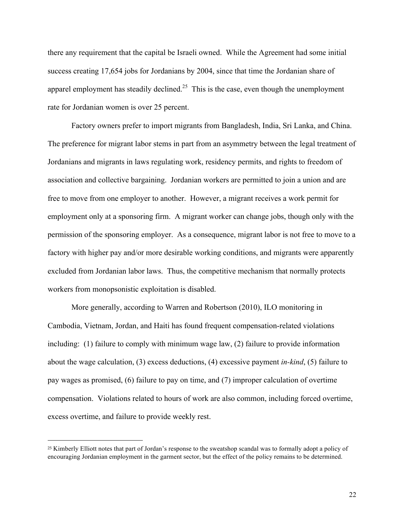there any requirement that the capital be Israeli owned. While the Agreement had some initial success creating 17,654 jobs for Jordanians by 2004, since that time the Jordanian share of apparel employment has steadily declined.<sup>25</sup> This is the case, even though the unemployment rate for Jordanian women is over 25 percent.

Factory owners prefer to import migrants from Bangladesh, India, Sri Lanka, and China. The preference for migrant labor stems in part from an asymmetry between the legal treatment of Jordanians and migrants in laws regulating work, residency permits, and rights to freedom of association and collective bargaining. Jordanian workers are permitted to join a union and are free to move from one employer to another. However, a migrant receives a work permit for employment only at a sponsoring firm. A migrant worker can change jobs, though only with the permission of the sponsoring employer. As a consequence, migrant labor is not free to move to a factory with higher pay and/or more desirable working conditions, and migrants were apparently excluded from Jordanian labor laws. Thus, the competitive mechanism that normally protects workers from monopsonistic exploitation is disabled.

More generally, according to Warren and Robertson (2010), ILO monitoring in Cambodia, Vietnam, Jordan, and Haiti has found frequent compensation-related violations including: (1) failure to comply with minimum wage law, (2) failure to provide information about the wage calculation, (3) excess deductions, (4) excessive payment *in-kind*, (5) failure to pay wages as promised, (6) failure to pay on time, and (7) improper calculation of overtime compensation. Violations related to hours of work are also common, including forced overtime, excess overtime, and failure to provide weekly rest.

<sup>25</sup> Kimberly Elliott notes that part of Jordan's response to the sweatshop scandal was to formally adopt a policy of encouraging Jordanian employment in the garment sector, but the effect of the policy remains to be determined.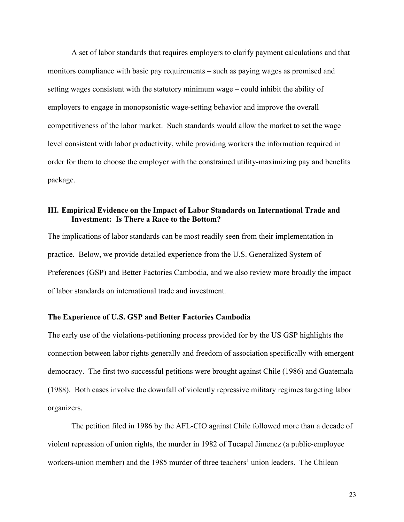A set of labor standards that requires employers to clarify payment calculations and that monitors compliance with basic pay requirements – such as paying wages as promised and setting wages consistent with the statutory minimum wage – could inhibit the ability of employers to engage in monopsonistic wage-setting behavior and improve the overall competitiveness of the labor market. Such standards would allow the market to set the wage level consistent with labor productivity, while providing workers the information required in order for them to choose the employer with the constrained utility-maximizing pay and benefits package.

## **III. Empirical Evidence on the Impact of Labor Standards on International Trade and Investment: Is There a Race to the Bottom?**

The implications of labor standards can be most readily seen from their implementation in practice. Below, we provide detailed experience from the U.S. Generalized System of Preferences (GSP) and Better Factories Cambodia, and we also review more broadly the impact of labor standards on international trade and investment.

## **The Experience of U.S. GSP and Better Factories Cambodia**

The early use of the violations-petitioning process provided for by the US GSP highlights the connection between labor rights generally and freedom of association specifically with emergent democracy. The first two successful petitions were brought against Chile (1986) and Guatemala (1988). Both cases involve the downfall of violently repressive military regimes targeting labor organizers.

The petition filed in 1986 by the AFL-CIO against Chile followed more than a decade of violent repression of union rights, the murder in 1982 of Tucapel Jimenez (a public-employee workers-union member) and the 1985 murder of three teachers' union leaders. The Chilean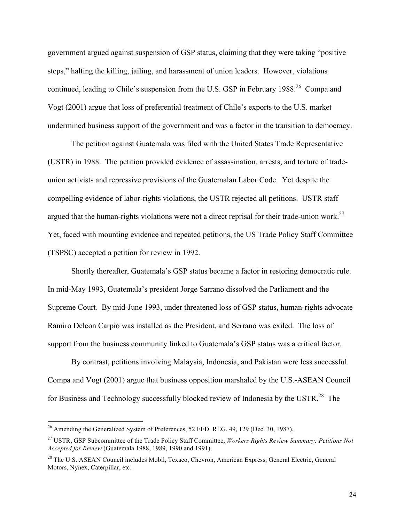government argued against suspension of GSP status, claiming that they were taking "positive steps," halting the killing, jailing, and harassment of union leaders. However, violations continued, leading to Chile's suspension from the U.S. GSP in February 1988.<sup>26</sup> Compa and Vogt (2001) argue that loss of preferential treatment of Chile's exports to the U.S. market undermined business support of the government and was a factor in the transition to democracy.

The petition against Guatemala was filed with the United States Trade Representative (USTR) in 1988. The petition provided evidence of assassination, arrests, and torture of tradeunion activists and repressive provisions of the Guatemalan Labor Code. Yet despite the compelling evidence of labor-rights violations, the USTR rejected all petitions. USTR staff argued that the human-rights violations were not a direct reprisal for their trade-union work.27 Yet, faced with mounting evidence and repeated petitions, the US Trade Policy Staff Committee (TSPSC) accepted a petition for review in 1992.

Shortly thereafter, Guatemala's GSP status became a factor in restoring democratic rule. In mid-May 1993, Guatemala's president Jorge Sarrano dissolved the Parliament and the Supreme Court. By mid-June 1993, under threatened loss of GSP status, human-rights advocate Ramiro Deleon Carpio was installed as the President, and Serrano was exiled. The loss of support from the business community linked to Guatemala's GSP status was a critical factor.

By contrast, petitions involving Malaysia, Indonesia, and Pakistan were less successful. Compa and Vogt (2001) argue that business opposition marshaled by the U.S.-ASEAN Council for Business and Technology successfully blocked review of Indonesia by the USTR.<sup>28</sup> The

 $^{26}$  Amending the Generalized System of Preferences, 52 FED. REG. 49, 129 (Dec. 30, 1987).

<sup>27</sup> USTR, GSP Subcommittee of the Trade Policy Staff Committee, *Workers Rights Review Summary: Petitions Not Accepted for Review* (Guatemala 1988, 1989, 1990 and 1991).

<sup>&</sup>lt;sup>28</sup> The U.S. ASEAN Council includes Mobil, Texaco, Chevron, American Express, General Electric, General Motors, Nynex, Caterpillar, etc.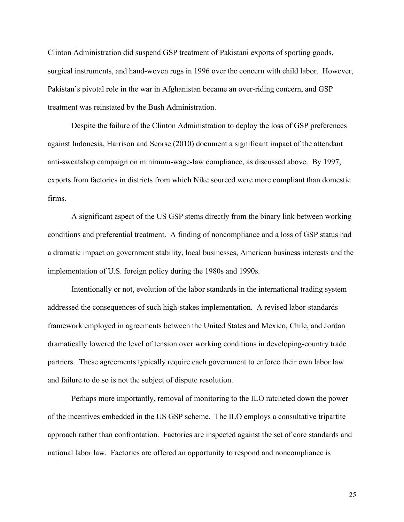Clinton Administration did suspend GSP treatment of Pakistani exports of sporting goods, surgical instruments, and hand-woven rugs in 1996 over the concern with child labor. However, Pakistan's pivotal role in the war in Afghanistan became an over-riding concern, and GSP treatment was reinstated by the Bush Administration.

Despite the failure of the Clinton Administration to deploy the loss of GSP preferences against Indonesia, Harrison and Scorse (2010) document a significant impact of the attendant anti-sweatshop campaign on minimum-wage-law compliance, as discussed above. By 1997, exports from factories in districts from which Nike sourced were more compliant than domestic firms.

A significant aspect of the US GSP stems directly from the binary link between working conditions and preferential treatment. A finding of noncompliance and a loss of GSP status had a dramatic impact on government stability, local businesses, American business interests and the implementation of U.S. foreign policy during the 1980s and 1990s.

Intentionally or not, evolution of the labor standards in the international trading system addressed the consequences of such high-stakes implementation. A revised labor-standards framework employed in agreements between the United States and Mexico, Chile, and Jordan dramatically lowered the level of tension over working conditions in developing-country trade partners. These agreements typically require each government to enforce their own labor law and failure to do so is not the subject of dispute resolution.

Perhaps more importantly, removal of monitoring to the ILO ratcheted down the power of the incentives embedded in the US GSP scheme. The ILO employs a consultative tripartite approach rather than confrontation. Factories are inspected against the set of core standards and national labor law. Factories are offered an opportunity to respond and noncompliance is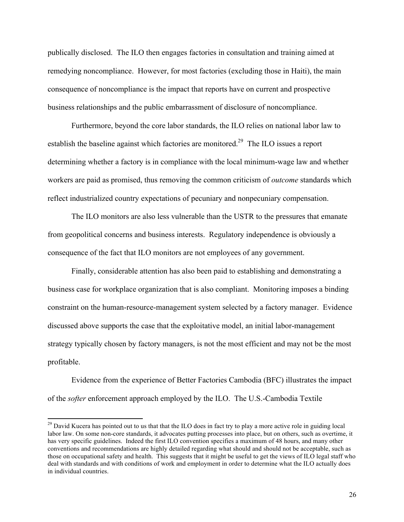publically disclosed. The ILO then engages factories in consultation and training aimed at remedying noncompliance. However, for most factories (excluding those in Haiti), the main consequence of noncompliance is the impact that reports have on current and prospective business relationships and the public embarrassment of disclosure of noncompliance.

Furthermore, beyond the core labor standards, the ILO relies on national labor law to establish the baseline against which factories are monitored.<sup>29</sup> The ILO issues a report determining whether a factory is in compliance with the local minimum-wage law and whether workers are paid as promised, thus removing the common criticism of *outcome* standards which reflect industrialized country expectations of pecuniary and nonpecuniary compensation.

The ILO monitors are also less vulnerable than the USTR to the pressures that emanate from geopolitical concerns and business interests. Regulatory independence is obviously a consequence of the fact that ILO monitors are not employees of any government.

Finally, considerable attention has also been paid to establishing and demonstrating a business case for workplace organization that is also compliant. Monitoring imposes a binding constraint on the human-resource-management system selected by a factory manager. Evidence discussed above supports the case that the exploitative model, an initial labor-management strategy typically chosen by factory managers, is not the most efficient and may not be the most profitable.

Evidence from the experience of Better Factories Cambodia (BFC) illustrates the impact of the *softer* enforcement approach employed by the ILO. The U.S.-Cambodia Textile

<sup>&</sup>lt;sup>29</sup> David Kucera has pointed out to us that that the ILO does in fact try to play a more active role in guiding local labor law. On some non-core standards, it advocates putting processes into place, but on others, such as overtime, it has very specific guidelines. Indeed the first ILO convention specifies a maximum of 48 hours, and many other conventions and recommendations are highly detailed regarding what should and should not be acceptable, such as those on occupational safety and health. This suggests that it might be useful to get the views of ILO legal staff who deal with standards and with conditions of work and employment in order to determine what the ILO actually does in individual countries.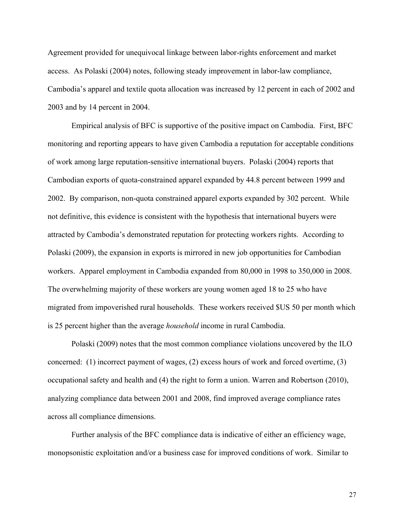Agreement provided for unequivocal linkage between labor-rights enforcement and market access. As Polaski (2004) notes, following steady improvement in labor-law compliance, Cambodia's apparel and textile quota allocation was increased by 12 percent in each of 2002 and 2003 and by 14 percent in 2004.

Empirical analysis of BFC is supportive of the positive impact on Cambodia. First, BFC monitoring and reporting appears to have given Cambodia a reputation for acceptable conditions of work among large reputation-sensitive international buyers. Polaski (2004) reports that Cambodian exports of quota-constrained apparel expanded by 44.8 percent between 1999 and 2002. By comparison, non-quota constrained apparel exports expanded by 302 percent. While not definitive, this evidence is consistent with the hypothesis that international buyers were attracted by Cambodia's demonstrated reputation for protecting workers rights. According to Polaski (2009), the expansion in exports is mirrored in new job opportunities for Cambodian workers. Apparel employment in Cambodia expanded from 80,000 in 1998 to 350,000 in 2008. The overwhelming majority of these workers are young women aged 18 to 25 who have migrated from impoverished rural households. These workers received \$US 50 per month which is 25 percent higher than the average *household* income in rural Cambodia.

Polaski (2009) notes that the most common compliance violations uncovered by the ILO concerned: (1) incorrect payment of wages, (2) excess hours of work and forced overtime, (3) occupational safety and health and (4) the right to form a union. Warren and Robertson (2010), analyzing compliance data between 2001 and 2008, find improved average compliance rates across all compliance dimensions.

Further analysis of the BFC compliance data is indicative of either an efficiency wage, monopsonistic exploitation and/or a business case for improved conditions of work. Similar to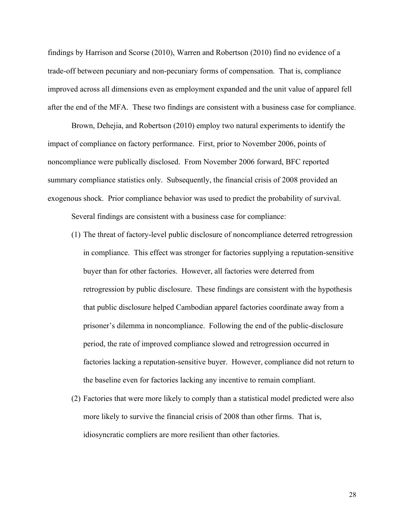findings by Harrison and Scorse (2010), Warren and Robertson (2010) find no evidence of a trade-off between pecuniary and non-pecuniary forms of compensation. That is, compliance improved across all dimensions even as employment expanded and the unit value of apparel fell after the end of the MFA. These two findings are consistent with a business case for compliance.

Brown, Dehejia, and Robertson (2010) employ two natural experiments to identify the impact of compliance on factory performance. First, prior to November 2006, points of noncompliance were publically disclosed. From November 2006 forward, BFC reported summary compliance statistics only. Subsequently, the financial crisis of 2008 provided an exogenous shock. Prior compliance behavior was used to predict the probability of survival.

Several findings are consistent with a business case for compliance:

- (1) The threat of factory-level public disclosure of noncompliance deterred retrogression in compliance. This effect was stronger for factories supplying a reputation-sensitive buyer than for other factories. However, all factories were deterred from retrogression by public disclosure. These findings are consistent with the hypothesis that public disclosure helped Cambodian apparel factories coordinate away from a prisoner's dilemma in noncompliance. Following the end of the public-disclosure period, the rate of improved compliance slowed and retrogression occurred in factories lacking a reputation-sensitive buyer. However, compliance did not return to the baseline even for factories lacking any incentive to remain compliant.
- (2) Factories that were more likely to comply than a statistical model predicted were also more likely to survive the financial crisis of 2008 than other firms. That is, idiosyncratic compliers are more resilient than other factories.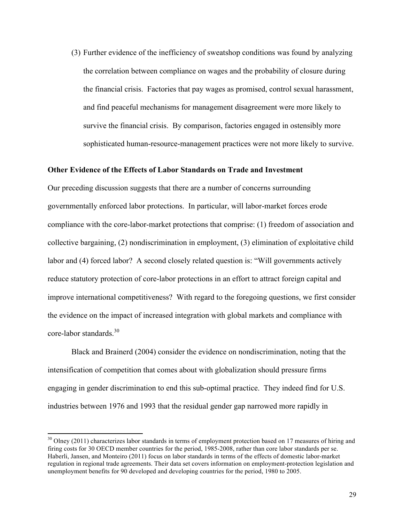(3) Further evidence of the inefficiency of sweatshop conditions was found by analyzing the correlation between compliance on wages and the probability of closure during the financial crisis. Factories that pay wages as promised, control sexual harassment, and find peaceful mechanisms for management disagreement were more likely to survive the financial crisis. By comparison, factories engaged in ostensibly more sophisticated human-resource-management practices were not more likely to survive.

## **Other Evidence of the Effects of Labor Standards on Trade and Investment**

Our preceding discussion suggests that there are a number of concerns surrounding governmentally enforced labor protections. In particular, will labor-market forces erode compliance with the core-labor-market protections that comprise: (1) freedom of association and collective bargaining, (2) nondiscrimination in employment, (3) elimination of exploitative child labor and (4) forced labor? A second closely related question is: "Will governments actively reduce statutory protection of core-labor protections in an effort to attract foreign capital and improve international competitiveness? With regard to the foregoing questions, we first consider the evidence on the impact of increased integration with global markets and compliance with core-labor standards.<sup>30</sup>

Black and Brainerd (2004) consider the evidence on nondiscrimination, noting that the intensification of competition that comes about with globalization should pressure firms engaging in gender discrimination to end this sub-optimal practice. They indeed find for U.S. industries between 1976 and 1993 that the residual gender gap narrowed more rapidly in

<sup>&</sup>lt;sup>30</sup> Olney (2011) characterizes labor standards in terms of employment protection based on 17 measures of hiring and firing costs for 30 OECD member countries for the period, 1985-2008, rather than core labor standards per se. Haberli, Jansen, and Monteiro (2011) focus on labor standards in terms of the effects of domestic labor-market regulation in regional trade agreements. Their data set covers information on employment-protection legislation and unemployment benefits for 90 developed and developing countries for the period, 1980 to 2005.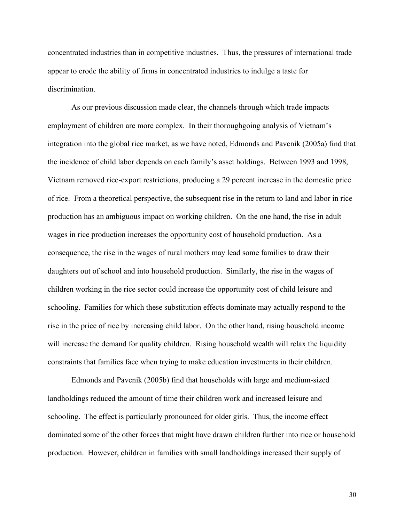concentrated industries than in competitive industries. Thus, the pressures of international trade appear to erode the ability of firms in concentrated industries to indulge a taste for discrimination.

As our previous discussion made clear, the channels through which trade impacts employment of children are more complex. In their thoroughgoing analysis of Vietnam's integration into the global rice market, as we have noted, Edmonds and Pavcnik (2005a) find that the incidence of child labor depends on each family's asset holdings. Between 1993 and 1998, Vietnam removed rice-export restrictions, producing a 29 percent increase in the domestic price of rice. From a theoretical perspective, the subsequent rise in the return to land and labor in rice production has an ambiguous impact on working children. On the one hand, the rise in adult wages in rice production increases the opportunity cost of household production. As a consequence, the rise in the wages of rural mothers may lead some families to draw their daughters out of school and into household production. Similarly, the rise in the wages of children working in the rice sector could increase the opportunity cost of child leisure and schooling. Families for which these substitution effects dominate may actually respond to the rise in the price of rice by increasing child labor. On the other hand, rising household income will increase the demand for quality children. Rising household wealth will relax the liquidity constraints that families face when trying to make education investments in their children.

Edmonds and Pavcnik (2005b) find that households with large and medium-sized landholdings reduced the amount of time their children work and increased leisure and schooling. The effect is particularly pronounced for older girls. Thus, the income effect dominated some of the other forces that might have drawn children further into rice or household production. However, children in families with small landholdings increased their supply of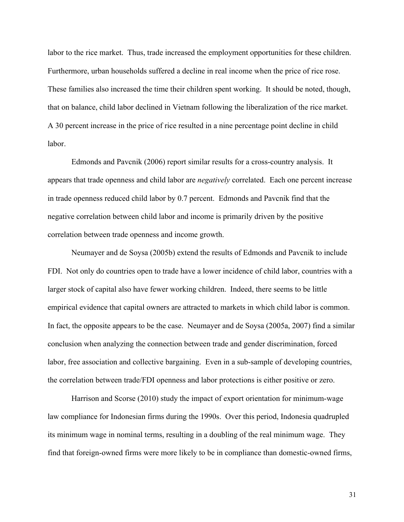labor to the rice market. Thus, trade increased the employment opportunities for these children. Furthermore, urban households suffered a decline in real income when the price of rice rose. These families also increased the time their children spent working. It should be noted, though, that on balance, child labor declined in Vietnam following the liberalization of the rice market. A 30 percent increase in the price of rice resulted in a nine percentage point decline in child labor.

Edmonds and Pavcnik (2006) report similar results for a cross-country analysis. It appears that trade openness and child labor are *negatively* correlated. Each one percent increase in trade openness reduced child labor by 0.7 percent. Edmonds and Pavcnik find that the negative correlation between child labor and income is primarily driven by the positive correlation between trade openness and income growth.

Neumayer and de Soysa (2005b) extend the results of Edmonds and Pavcnik to include FDI. Not only do countries open to trade have a lower incidence of child labor, countries with a larger stock of capital also have fewer working children. Indeed, there seems to be little empirical evidence that capital owners are attracted to markets in which child labor is common. In fact, the opposite appears to be the case. Neumayer and de Soysa (2005a, 2007) find a similar conclusion when analyzing the connection between trade and gender discrimination, forced labor, free association and collective bargaining. Even in a sub-sample of developing countries, the correlation between trade/FDI openness and labor protections is either positive or zero.

Harrison and Scorse (2010) study the impact of export orientation for minimum-wage law compliance for Indonesian firms during the 1990s. Over this period, Indonesia quadrupled its minimum wage in nominal terms, resulting in a doubling of the real minimum wage. They find that foreign-owned firms were more likely to be in compliance than domestic-owned firms,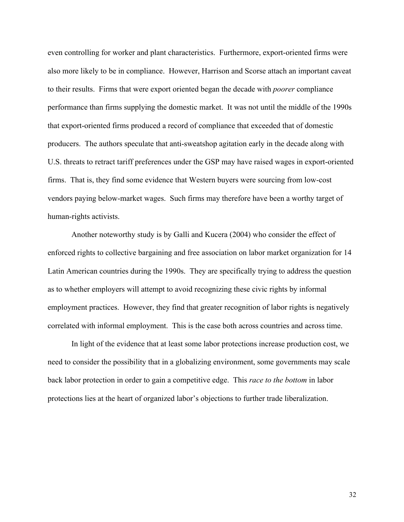even controlling for worker and plant characteristics. Furthermore, export-oriented firms were also more likely to be in compliance. However, Harrison and Scorse attach an important caveat to their results. Firms that were export oriented began the decade with *poorer* compliance performance than firms supplying the domestic market. It was not until the middle of the 1990s that export-oriented firms produced a record of compliance that exceeded that of domestic producers. The authors speculate that anti-sweatshop agitation early in the decade along with U.S. threats to retract tariff preferences under the GSP may have raised wages in export-oriented firms. That is, they find some evidence that Western buyers were sourcing from low-cost vendors paying below-market wages. Such firms may therefore have been a worthy target of human-rights activists.

Another noteworthy study is by Galli and Kucera (2004) who consider the effect of enforced rights to collective bargaining and free association on labor market organization for 14 Latin American countries during the 1990s. They are specifically trying to address the question as to whether employers will attempt to avoid recognizing these civic rights by informal employment practices. However, they find that greater recognition of labor rights is negatively correlated with informal employment. This is the case both across countries and across time.

In light of the evidence that at least some labor protections increase production cost, we need to consider the possibility that in a globalizing environment, some governments may scale back labor protection in order to gain a competitive edge. This *race to the bottom* in labor protections lies at the heart of organized labor's objections to further trade liberalization.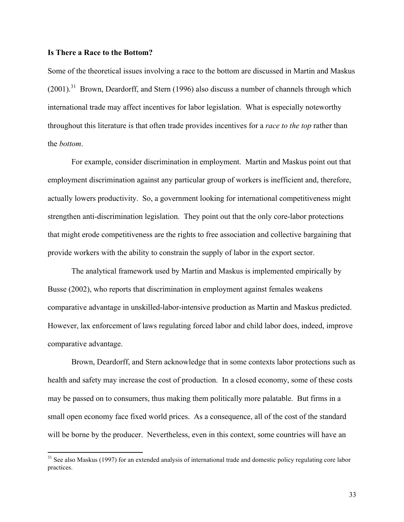### **Is There a Race to the Bottom?**

 

Some of the theoretical issues involving a race to the bottom are discussed in Martin and Maskus  $(2001)$ .<sup>31</sup> Brown, Deardorff, and Stern (1996) also discuss a number of channels through which international trade may affect incentives for labor legislation. What is especially noteworthy throughout this literature is that often trade provides incentives for a *race to the top* rather than the *bottom*.

For example, consider discrimination in employment. Martin and Maskus point out that employment discrimination against any particular group of workers is inefficient and, therefore, actually lowers productivity. So, a government looking for international competitiveness might strengthen anti-discrimination legislation. They point out that the only core-labor protections that might erode competitiveness are the rights to free association and collective bargaining that provide workers with the ability to constrain the supply of labor in the export sector.

The analytical framework used by Martin and Maskus is implemented empirically by Busse (2002), who reports that discrimination in employment against females weakens comparative advantage in unskilled-labor-intensive production as Martin and Maskus predicted. However, lax enforcement of laws regulating forced labor and child labor does, indeed, improve comparative advantage.

Brown, Deardorff, and Stern acknowledge that in some contexts labor protections such as health and safety may increase the cost of production. In a closed economy, some of these costs may be passed on to consumers, thus making them politically more palatable. But firms in a small open economy face fixed world prices. As a consequence, all of the cost of the standard will be borne by the producer. Nevertheless, even in this context, some countries will have an

<sup>&</sup>lt;sup>31</sup> See also Maskus (1997) for an extended analysis of international trade and domestic policy regulating core labor practices.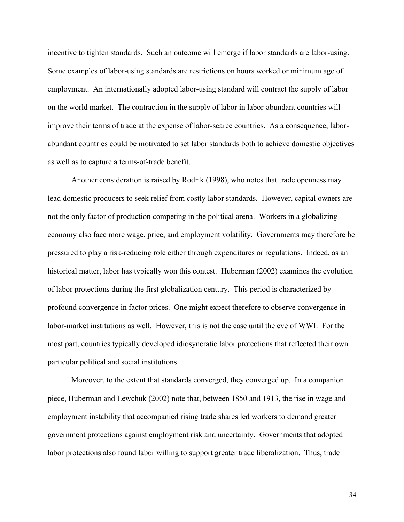incentive to tighten standards. Such an outcome will emerge if labor standards are labor-using. Some examples of labor-using standards are restrictions on hours worked or minimum age of employment. An internationally adopted labor-using standard will contract the supply of labor on the world market. The contraction in the supply of labor in labor-abundant countries will improve their terms of trade at the expense of labor-scarce countries. As a consequence, laborabundant countries could be motivated to set labor standards both to achieve domestic objectives as well as to capture a terms-of-trade benefit.

Another consideration is raised by Rodrik (1998), who notes that trade openness may lead domestic producers to seek relief from costly labor standards. However, capital owners are not the only factor of production competing in the political arena. Workers in a globalizing economy also face more wage, price, and employment volatility. Governments may therefore be pressured to play a risk-reducing role either through expenditures or regulations. Indeed, as an historical matter, labor has typically won this contest. Huberman (2002) examines the evolution of labor protections during the first globalization century. This period is characterized by profound convergence in factor prices. One might expect therefore to observe convergence in labor-market institutions as well. However, this is not the case until the eve of WWI. For the most part, countries typically developed idiosyncratic labor protections that reflected their own particular political and social institutions.

Moreover, to the extent that standards converged, they converged up. In a companion piece, Huberman and Lewchuk (2002) note that, between 1850 and 1913, the rise in wage and employment instability that accompanied rising trade shares led workers to demand greater government protections against employment risk and uncertainty. Governments that adopted labor protections also found labor willing to support greater trade liberalization. Thus, trade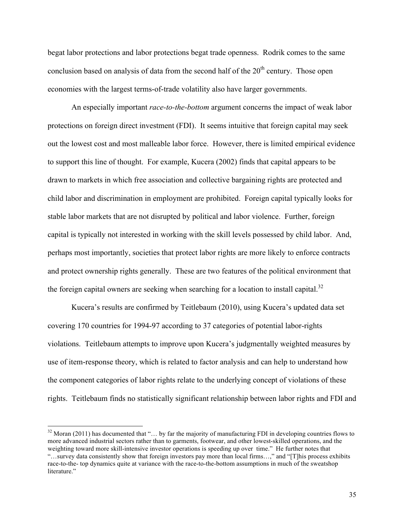begat labor protections and labor protections begat trade openness. Rodrik comes to the same conclusion based on analysis of data from the second half of the  $20<sup>th</sup>$  century. Those open economies with the largest terms-of-trade volatility also have larger governments.

An especially important *race-to-the-bottom* argument concerns the impact of weak labor protections on foreign direct investment (FDI). It seems intuitive that foreign capital may seek out the lowest cost and most malleable labor force. However, there is limited empirical evidence to support this line of thought. For example, Kucera (2002) finds that capital appears to be drawn to markets in which free association and collective bargaining rights are protected and child labor and discrimination in employment are prohibited. Foreign capital typically looks for stable labor markets that are not disrupted by political and labor violence. Further, foreign capital is typically not interested in working with the skill levels possessed by child labor. And, perhaps most importantly, societies that protect labor rights are more likely to enforce contracts and protect ownership rights generally. These are two features of the political environment that the foreign capital owners are seeking when searching for a location to install capital.<sup>32</sup>

Kucera's results are confirmed by Teitlebaum (2010), using Kucera's updated data set covering 170 countries for 1994-97 according to 37 categories of potential labor-rights violations. Teitlebaum attempts to improve upon Kucera's judgmentally weighted measures by use of item-response theory, which is related to factor analysis and can help to understand how the component categories of labor rights relate to the underlying concept of violations of these rights. Teitlebaum finds no statistically significant relationship between labor rights and FDI and

<sup>&</sup>lt;sup>32</sup> Moran (2011) has documented that "... by far the majority of manufacturing FDI in developing countries flows to more advanced industrial sectors rather than to garments, footwear, and other lowest-skilled operations, and the weighting toward more skill-intensive investor operations is speeding up over time." He further notes that "…survey data consistently show that foreign investors pay more than local firms…," and "[T]his process exhibits race-to-the- top dynamics quite at variance with the race-to-the-bottom assumptions in much of the sweatshop literature."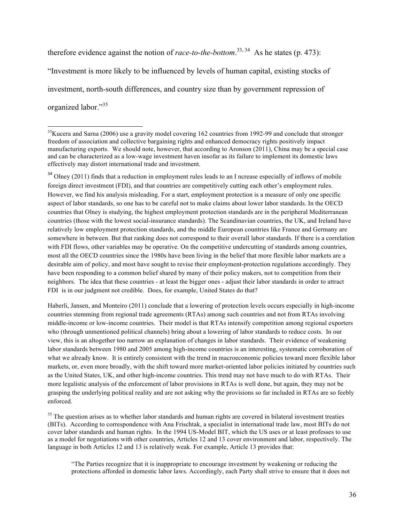therefore evidence against the notion of *race-to-the-bottom*. 33, <sup>34</sup>As he states (p. 473): "Investment is more likely to be influenced by levels of human capital, existing stocks of investment, north-south differences, and country size than by government repression of organized labor."35

 

<sup>34</sup> Olney (2011) finds that a reduction in employment rules leads to an I ncrease especially of inflows of mobile foreign direct investment (FDI), and that countries are competitively cutting each other's employment rules. However, we find his analysis misleading. For a start, employment protection is a measure of only one specific aspect of labor standards, so one has to be careful not to make claims about lower labor standards. In the OECD countries that Olney is studying, the highest employment protection standards are in the peripheral Mediterranean countries (those with the lowest social-insurance standards). The Scandinavian countries, the UK, and Ireland have relatively low employment protection standards, and the middle European countries like France and Germany are somewhere in between. But that ranking does not correspond to their overall labor standards. If there is a correlation with FDI flows, other variables may be operative. On the competitive undercutting of standards among countries, most all the OECD countries since the 1980s have been living in the belief that more flexible labor markets are a desirable aim of policy, and most have sought to revise their employment-protection regulations accordingly. They have been responding to a common belief shared by many of their policy makers, not to competition from their neighbors. The idea that these countries - at least the bigger ones - adjust their labor standards in order to attract FDI is in our judgment not credible. Does, for example, United States do that?

Haberli, Jansen, and Monteiro (2011) conclude that a lowering of protection levels occurs especially in high-income countries stemming from regional trade agreements (RTAs) among such countries and not from RTAs involving middle-income or low-income countries. Their model is that RTAs intensify competition among regional exporters who (through unmentioned political channels) bring about a lowering of labor standards to reduce costs. In our view, this is an altogether too narrow an explanation of changes in labor standards. Their evidence of weakening labor standards between 1980 and 2005 among high-income countries is an interesting, systematic corroboration of what we already know. It is entirely consistent with the trend in macroeconomic policies toward more flexible labor markets, or, even more broadly, with the shift toward more market-oriented labor policies initiated by countries such as the United States, UK, and other high-income countries. This trend may not have much to do with RTAs. Their more legalistic analysis of the enforcement of labor provisions in RTAs is well done, but again, they may not be grasping the underlying political reality and are not asking why the provisions so far included in RTAs are so feebly enforced.

<sup>35</sup> The question arises as to whether labor standards and human rights are covered in bilateral investment treaties (BITs). According to correspondence with Ana Frischtak, a specialist in international trade law, most BITs do not cover labor standards and human rights. In the 1994 US-Model BIT, which the US uses or at least professes to use as a model for negotiations with other countries, Articles 12 and 13 cover environment and labor, respectively. The language in both Articles 12 and 13 is relatively weak. For example, Article 13 provides that:

"The Parties recognize that it is inappropriate to encourage investment by weakening or reducing the protections afforded in domestic labor laws. Accordingly, each Party shall strive to ensure that it does not

<sup>&</sup>lt;sup>33</sup>Kucera and Sarna (2006) use a gravity model covering 162 countries from 1992-99 and conclude that stronger freedom of association and collective bargaining rights and enhanced democracy rights positively impact manufacturing exports. We should note, however, that according to Aronson (2011), China may be a special case and can be characterized as a low-wage investment haven insofar as its failure to implement its domestic laws effectively may distort international trade and investment.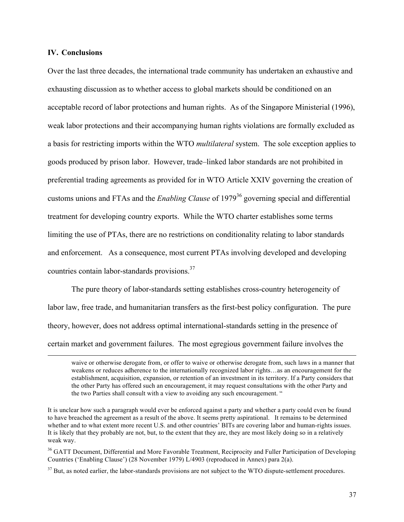### **IV. Conclusions**

Over the last three decades, the international trade community has undertaken an exhaustive and exhausting discussion as to whether access to global markets should be conditioned on an acceptable record of labor protections and human rights. As of the Singapore Ministerial (1996), weak labor protections and their accompanying human rights violations are formally excluded as a basis for restricting imports within the WTO *multilateral* system. The sole exception applies to goods produced by prison labor. However, trade–linked labor standards are not prohibited in preferential trading agreements as provided for in WTO Article XXIV governing the creation of customs unions and FTAs and the *Enabling Clause* of 197936 governing special and differential treatment for developing country exports. While the WTO charter establishes some terms limiting the use of PTAs, there are no restrictions on conditionality relating to labor standards and enforcement. As a consequence, most current PTAs involving developed and developing countries contain labor-standards provisions.37

The pure theory of labor-standards setting establishes cross-country heterogeneity of labor law, free trade, and humanitarian transfers as the first-best policy configuration. The pure theory, however, does not address optimal international-standards setting in the presence of certain market and government failures. The most egregious government failure involves the

<u> 1989 - Andrea Santa Andrea Andrea Andrea Andrea Andrea Andrea Andrea Andrea Andrea Andrea Andrea Andrea Andr</u>

waive or otherwise derogate from, or offer to waive or otherwise derogate from, such laws in a manner that weakens or reduces adherence to the internationally recognized labor rights…as an encouragement for the establishment, acquisition, expansion, or retention of an investment in its territory. If a Party considers that the other Party has offered such an encouragement, it may request consultations with the other Party and the two Parties shall consult with a view to avoiding any such encouragement. "

It is unclear how such a paragraph would ever be enforced against a party and whether a party could even be found to have breached the agreement as a result of the above. It seems pretty aspirational. It remains to be determined whether and to what extent more recent U.S. and other countries' BITs are covering labor and human-rights issues. It is likely that they probably are not, but, to the extent that they are, they are most likely doing so in a relatively weak way.

<sup>&</sup>lt;sup>36</sup> GATT Document, Differential and More Favorable Treatment, Reciprocity and Fuller Participation of Developing Countries ('Enabling Clause') (28 November 1979) L/4903 (reproduced in Annex) para 2(a).

 $37$  But, as noted earlier, the labor-standards provisions are not subject to the WTO dispute-settlement procedures.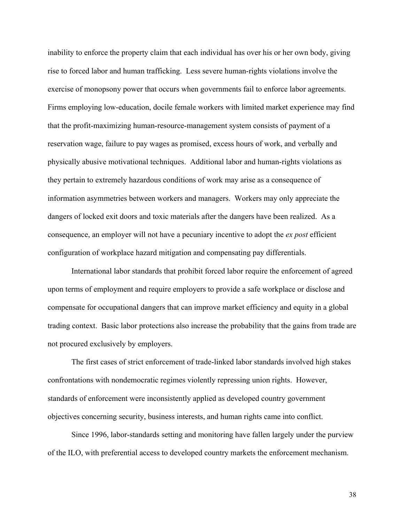inability to enforce the property claim that each individual has over his or her own body, giving rise to forced labor and human trafficking. Less severe human-rights violations involve the exercise of monopsony power that occurs when governments fail to enforce labor agreements. Firms employing low-education, docile female workers with limited market experience may find that the profit-maximizing human-resource-management system consists of payment of a reservation wage, failure to pay wages as promised, excess hours of work, and verbally and physically abusive motivational techniques. Additional labor and human-rights violations as they pertain to extremely hazardous conditions of work may arise as a consequence of information asymmetries between workers and managers. Workers may only appreciate the dangers of locked exit doors and toxic materials after the dangers have been realized. As a consequence, an employer will not have a pecuniary incentive to adopt the *ex post* efficient configuration of workplace hazard mitigation and compensating pay differentials.

International labor standards that prohibit forced labor require the enforcement of agreed upon terms of employment and require employers to provide a safe workplace or disclose and compensate for occupational dangers that can improve market efficiency and equity in a global trading context. Basic labor protections also increase the probability that the gains from trade are not procured exclusively by employers.

The first cases of strict enforcement of trade-linked labor standards involved high stakes confrontations with nondemocratic regimes violently repressing union rights. However, standards of enforcement were inconsistently applied as developed country government objectives concerning security, business interests, and human rights came into conflict.

Since 1996, labor-standards setting and monitoring have fallen largely under the purview of the ILO, with preferential access to developed country markets the enforcement mechanism.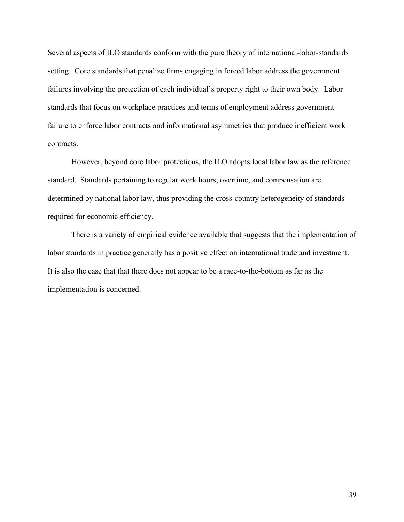Several aspects of ILO standards conform with the pure theory of international-labor-standards setting. Core standards that penalize firms engaging in forced labor address the government failures involving the protection of each individual's property right to their own body. Labor standards that focus on workplace practices and terms of employment address government failure to enforce labor contracts and informational asymmetries that produce inefficient work contracts.

However, beyond core labor protections, the ILO adopts local labor law as the reference standard. Standards pertaining to regular work hours, overtime, and compensation are determined by national labor law, thus providing the cross-country heterogeneity of standards required for economic efficiency.

There is a variety of empirical evidence available that suggests that the implementation of labor standards in practice generally has a positive effect on international trade and investment. It is also the case that that there does not appear to be a race-to-the-bottom as far as the implementation is concerned.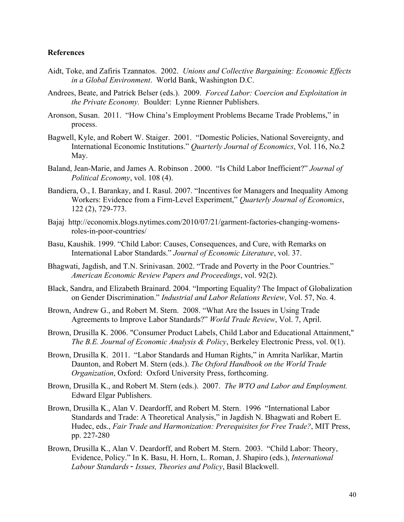## **References**

- Aidt, Toke, and Zafiris Tzannatos. 2002. *Unions and Collective Bargaining: Economic Effects in a Global Environment*. World Bank, Washington D.C.
- Andrees, Beate, and Patrick Belser (eds.). 2009. *Forced Labor: Coercion and Exploitation in the Private Economy.* Boulder: Lynne Rienner Publishers.
- Aronson, Susan. 2011. "How China's Employment Problems Became Trade Problems," in process.
- Bagwell, Kyle, and Robert W. Staiger. 2001. "Domestic Policies, National Sovereignty, and International Economic Institutions." *Quarterly Journal of Economics*, Vol. 116, No.2 May.
- Baland, Jean-Marie, and James A. Robinson . 2000. "Is Child Labor Inefficient?" *Journal of Political Economy*, vol. 108 (4).
- Bandiera, O., I. Barankay, and I. Rasul. 2007. "Incentives for Managers and Inequality Among Workers: Evidence from a Firm-Level Experiment," *Quarterly Journal of Economics*, 122 (2), 729-773.
- Bajaj http://economix.blogs.nytimes.com/2010/07/21/garment-factories-changing-womensroles-in-poor-countries/
- Basu, Kaushik. 1999. "Child Labor: Causes, Consequences, and Cure, with Remarks on International Labor Standards." *Journal of Economic Literature*, vol. 37.
- Bhagwati, Jagdish, and T.N. Srinivasan. 2002. "Trade and Poverty in the Poor Countries." *American Economic Review Papers and Proceedings*, vol. 92(2).
- Black, Sandra, and Elizabeth Brainard. 2004. "Importing Equality? The Impact of Globalization on Gender Discrimination." *Industrial and Labor Relations Review*, Vol. 57, No. 4.
- Brown, Andrew G., and Robert M. Stern. 2008. "What Are the Issues in Using Trade Agreements to Improve Labor Standards?" *World Trade Review*, Vol. 7, April.
- Brown, Drusilla K. 2006. "Consumer Product Labels, Child Labor and Educational Attainment," *The B.E. Journal of Economic Analysis & Policy*, Berkeley Electronic Press, vol. 0(1).
- Brown, Drusilla K. 2011. "Labor Standards and Human Rights," in Amrita Narlikar, Martin Daunton, and Robert M. Stern (eds.). *The Oxford Handbook on the World Trade Organization*, Oxford: Oxford University Press, forthcoming.
- Brown, Drusilla K., and Robert M. Stern (eds.). 2007. *The WTO and Labor and Employment.*  Edward Elgar Publishers.
- Brown, Drusilla K., Alan V. Deardorff, and Robert M. Stern. 1996 "International Labor Standards and Trade: A Theoretical Analysis," in Jagdish N. Bhagwati and Robert E. Hudec, eds., *Fair Trade and Harmonization: Prerequisites for Free Trade?*, MIT Press, pp. 227-280
- Brown, Drusilla K., Alan V. Deardorff, and Robert M. Stern. 2003. "Child Labor: Theory, Evidence, Policy." In K. Basu, H. Horn, L. Roman, J. Shapiro (eds.), *International Labour Standards*‐ *Issues, Theories and Policy*, Basil Blackwell.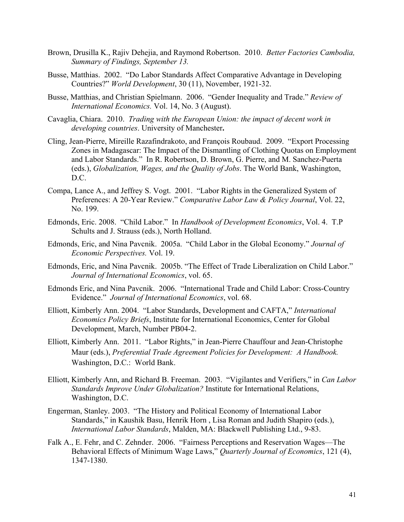- Brown, Drusilla K., Rajiv Dehejia, and Raymond Robertson. 2010. *Better Factories Cambodia, Summary of Findings, September 13.*
- Busse, Matthias. 2002. "Do Labor Standards Affect Comparative Advantage in Developing Countries?" *World Development*, 30 (11), November, 1921-32.
- Busse, Matthias, and Christian Spielmann. 2006. "Gender Inequality and Trade." *Review of International Economics.* Vol. 14, No. 3 (August).
- Cavaglia, Chiara. 2010. *Trading with the European Union: the impact of decent work in developing countries*. University of Manchester**.**
- Cling, Jean-Pierre, Mireille Razafindrakoto, and François Roubaud. 2009. "Export Processing Zones in Madagascar: The Impact of the Dismantling of Clothing Quotas on Employment and Labor Standards." In R. Robertson, D. Brown, G. Pierre, and M. Sanchez-Puerta (eds.), *Globalization, Wages, and the Quality of Jobs*. The World Bank, Washington, D.C.
- Compa, Lance A., and Jeffrey S. Vogt. 2001. "Labor Rights in the Generalized System of Preferences: A 20-Year Review." *Comparative Labor Law & Policy Journal*, Vol. 22, No. 199.
- Edmonds, Eric. 2008. "Child Labor." In *Handbook of Development Economics*, Vol. 4. T.P Schults and J. Strauss (eds.), North Holland.
- Edmonds, Eric, and Nina Pavcnik. 2005a. "Child Labor in the Global Economy." *Journal of Economic Perspectives.* Vol. 19.
- Edmonds, Eric, and Nina Pavcnik. 2005b. "The Effect of Trade Liberalization on Child Labor." *Journal of International Economics*, vol. 65.
- Edmonds Eric, and Nina Pavcnik. 2006. "International Trade and Child Labor: Cross-Country Evidence." *Journal of International Economics*, vol. 68.
- Elliott, Kimberly Ann. 2004. "Labor Standards, Development and CAFTA," *International Economics Policy Briefs*, Institute for International Economics, Center for Global Development, March, Number PB04-2.
- Elliott, Kimberly Ann. 2011. "Labor Rights," in Jean-Pierre Chauffour and Jean-Christophe Maur (eds.), *Preferential Trade Agreement Policies for Development: A Handbook.*  Washington, D.C.: World Bank.
- Elliott, Kimberly Ann, and Richard B. Freeman. 2003. "Vigilantes and Verifiers," in *Can Labor Standards Improve Under Globalization?* Institute for International Relations, Washington, D.C.
- Engerman, Stanley. 2003. "The History and Political Economy of International Labor Standards," in Kaushik Basu, Henrik Horn , Lisa Roman and Judith Shapiro (eds.), *International Labor Standards*, Malden, MA: Blackwell Publishing Ltd., 9-83.
- Falk A., E. Fehr, and C. Zehnder. 2006. "Fairness Perceptions and Reservation Wages—The Behavioral Effects of Minimum Wage Laws," *Quarterly Journal of Economics*, 121 (4), 1347-1380.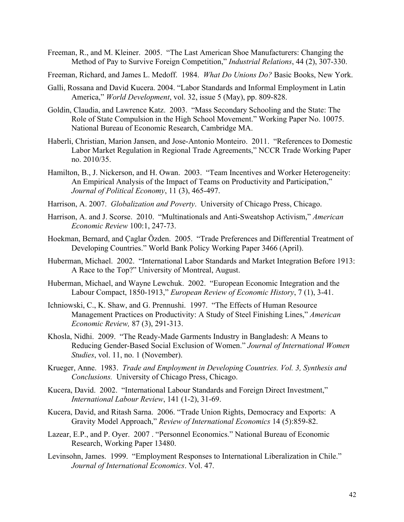Freeman, R., and M. Kleiner. 2005. "The Last American Shoe Manufacturers: Changing the Method of Pay to Survive Foreign Competition," *Industrial Relations*, 44 (2), 307-330.

Freeman, Richard, and James L. Medoff. 1984. *What Do Unions Do?* Basic Books, New York.

- Galli, Rossana and David Kucera. 2004. "Labor Standards and Informal Employment in Latin America," *World Development*, vol. 32, issue 5 (May), pp. 809-828.
- Goldin, Claudia, and Lawrence Katz. 2003. "Mass Secondary Schooling and the State: The Role of State Compulsion in the High School Movement." Working Paper No. 10075. National Bureau of Economic Research, Cambridge MA.
- Haberli, Christian, Marion Jansen, and Jose-Antonio Monteiro. 2011. "References to Domestic Labor Market Regulation in Regional Trade Agreements," NCCR Trade Working Paper no. 2010/35.
- Hamilton, B., J. Nickerson, and H. Owan. 2003. "Team Incentives and Worker Heterogeneity: An Empirical Analysis of the Impact of Teams on Productivity and Participation," *Journal of Political Economy*, 11 (3), 465-497.
- Harrison, A. 2007. *Globalization and Poverty*. University of Chicago Press, Chicago.
- Harrison, A. and J. Scorse. 2010. "Multinationals and Anti-Sweatshop Activism," *American Economic Review* 100:1, 247-73.
- Hoekman, Bernard, and Çaglar Özden. 2005. "Trade Preferences and Differential Treatment of Developing Countries." World Bank Policy Working Paper 3466 (April).
- Huberman, Michael. 2002. "International Labor Standards and Market Integration Before 1913: A Race to the Top?" University of Montreal, August.
- Huberman, Michael, and Wayne Lewchuk. 2002. "European Economic Integration and the Labour Compact, 1850-1913," *European Review of Economic History*, 7 (1), 3-41.
- Ichniowski, C., K. Shaw, and G. Prennushi. 1997. "The Effects of Human Resource Management Practices on Productivity: A Study of Steel Finishing Lines," *American Economic Review,* 87 (3), 291-313.
- Khosla, Nidhi. 2009. "The Ready-Made Garments Industry in Bangladesh: A Means to Reducing Gender-Based Social Exclusion of Women." *Journal of International Women Studies*, vol. 11, no. 1 (November).
- Krueger, Anne. 1983. *Trade and Employment in Developing Countries. Vol. 3, Synthesis and Conclusions.* University of Chicago Press, Chicago.
- Kucera, David. 2002. "International Labour Standards and Foreign Direct Investment," *International Labour Review*, 141 (1-2), 31-69.
- Kucera, David, and Ritash Sarna. 2006. "Trade Union Rights, Democracy and Exports: A Gravity Model Approach," *Review of International Economics* 14 (5):859-82.
- Lazear, E.P., and P. Oyer. 2007 . "Personnel Economics." National Bureau of Economic Research, Working Paper 13480.
- Levinsohn, James. 1999. "Employment Responses to International Liberalization in Chile." *Journal of International Economics*. Vol. 47.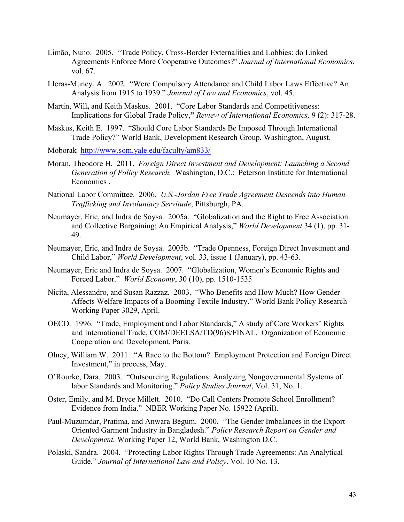- Limão, Nuno. 2005. "Trade Policy, Cross-Border Externalities and Lobbies: do Linked Agreements Enforce More Cooperative Outcomes?" *Journal of International Economics*, vol. 67.
- Lleras-Muney, A. 2002. "Were Compulsory Attendance and Child Labor Laws Effective? An Analysis from 1915 to 1939." *Journal of Law and Economics*, vol. 45.
- Martin, Will, and Keith Maskus. 2001. "Core Labor Standards and Competitiveness: Implications for Global Trade Policy,**"** *Review of International Economics,* 9 (2): 317-28.
- Maskus, Keith E. 1997. "Should Core Labor Standards Be Imposed Through International Trade Policy?" World Bank, Development Research Group, Washington, August.
- Moborakhttp://www.som.yale.edu/faculty/am833/
- Moran, Theodore H. 2011. *Foreign Direct Investment and Development: Launching a Second Generation of Policy Research.* Washington, D.C.: Peterson Institute for International Economics .
- National Labor Committee. 2006. *U.S.-Jordan Free Trade Agreement Descends into Human Trafficking and Involuntary Servitude*, Pittsburgh, PA.
- Neumayer, Eric, and Indra de Soysa. 2005a. "Globalization and the Right to Free Association and Collective Bargaining: An Empirical Analysis," *World Development* 34 (1), pp. 31- 49.
- Neumayer, Eric, and Indra de Soysa. 2005b. "Trade Openness, Foreign Direct Investment and Child Labor," *World Development*, vol. 33, issue 1 (January), pp. 43-63.
- Neumayer, Eric and Indra de Soysa. 2007. "Globalization, Women's Economic Rights and Forced Labor." *World Economy*, 30 (10), pp. 1510-1535
- Nicita, Alessandro, and Susan Razzaz. 2003. "Who Benefits and How Much? How Gender Affects Welfare Impacts of a Booming Textile Industry." World Bank Policy Research Working Paper 3029, April.
- OECD. 1996. "Trade, Employment and Labor Standards," A study of Core Workers' Rights and International Trade, COM/DEELSA/TD(96)8/FINAL. Organization of Economic Cooperation and Development, Paris.
- Olney, William W. 2011. "A Race to the Bottom? Employment Protection and Foreign Direct Investment," in process, May.
- O'Rourke, Dara. 2003. "Outsourcing Regulations: Analyzing Nongovernmental Systems of labor Standards and Monitoring." *Policy Studies Journal*, Vol. 31, No. 1.
- Oster, Emily, and M. Bryce Millett. 2010. "Do Call Centers Promote School Enrollment? Evidence from India." NBER Working Paper No. 15922 (April).
- Paul-Muzumdar, Pratima, and Anwara Begum. 2000. "The Gender Imbalances in the Export Oriented Garment Industry in Bangladesh." *Policy Research Report on Gender and Development.* Working Paper 12, World Bank, Washington D.C.
- Polaski, Sandra. 2004. "Protecting Labor Rights Through Trade Agreements: An Analytical Guide." *Journal of International Law and Policy*. Vol. 10 No. 13.